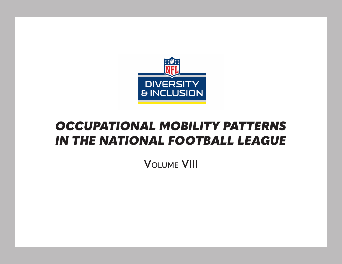

## *OCCUPATIONAL MOBILITY PATTERNS IN THE NATIONAL FOOTBALL LEAGUE*

**Volume VIII**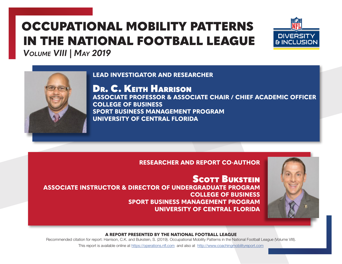# OCCUPATIONAL MOBILITY PATTERNS IN THE NATIONAL FOOTBALL LEAGUE



*Volume VIII | May 2019*

## **LEAD INVESTIGATOR AND RESEARCHER**



Dr. C. Keith Harrison **ASSOCIATE PROFESSOR & ASSOCIATE CHAIR / CHIEF ACADEMIC OFFICER COLLEGE OF BUSINESS SPORT BUSINESS MANAGEMENT PROGRAM UNIVERSITY OF CENTRAL FLORIDA** 

## **RESEARCHER AND REPORT CO-AUTHOR**

**SCOTT BUKSTEIN ASSOCIATE INSTRUCTOR & DIRECTOR OF UNDERGRADUATE PROGRAM COLLEGE OF BUSINESS SPORT BUSINESS MANAGEMENT PROGRAM UNIVERSITY OF CENTRAL FLORIDA**



#### **A REPORT PRESENTED BY THE NATIONAL FOOTBALL LEAGUE**

Recommended citation for report: Harrison, C.K. and Bukstein, S. (2019). Occupational Mobility Patterns in the National Football League (Volume VIII).

This report is available online at https://operations.nfl.com and also at http://www.coachingmobilityreport.com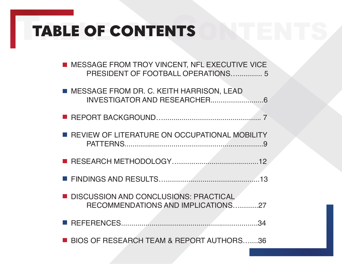# TABLE OF CONTENTS TABLE OF CONTENTS

| MESSAGE FROM TROY VINCENT, NFL EXECUTIVE VICE<br>PRESIDENT OF FOOTBALL OPERATIONS 5 |
|-------------------------------------------------------------------------------------|
| ■ MESSAGE FROM DR. C. KEITH HARRISON, LEAD                                          |
|                                                                                     |
| REVIEW OF LITERATURE ON OCCUPATIONAL MOBILITY                                       |
|                                                                                     |
|                                                                                     |
|                                                                                     |
| DISCUSSION AND CONCLUSIONS: PRACTICAL<br>RECOMMENDATIONS AND IMPLICATIONS27         |
| .34                                                                                 |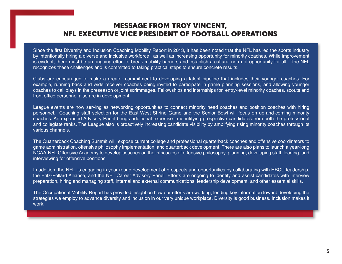# TABle Table of Contents MESSAGE FROM TROY VINCENT,<br>NET EXECUTIVE VICE PRESIDENT OF FOOTBALL NFL EXECUTIVE VICE PRESIDENT OF FOOTBALL OPERATIONS

Since the first Diversity and Inclusion Coaching Mobility Report in 2013, it has been noted that the NFL has led the sports industry by intentionally hiring a diverse and inclusive workforce , as well as increasing opportunity for minority coaches. While improvement is evident, there must be an ongoing effort to break mobility barriers and establish a cultural norm of opportunity for all. The NFL recognizes these challenges and is committed to taking practical steps to ensure concrete results.

Clubs are encouraged to make a greater commitment to developing a talent pipeline that includes their younger coaches. For example, running back and wide receiver coaches being invited to participate in game planning sessions, and allowing younger coaches to call plays in the preseason or joint scrimmages. Fellowships and internships for entry-level minority coaches, scouts and front office personnel also are in development.

League events are now serving as networking opportunities to connect minority head coaches and position coaches with hiring personnel. Coaching staff selection for the East-West Shrine Game and the Senior Bowl will focus on up-and-coming minority coaches. An expanded Advisory Panel brings additional expertise in identifying prospective candidates from both the professional and collegiate ranks. The League also is proactively increasing candidate visibility by amplifying rising minority coaches through its various channels.

The Quarterback Coaching Summit will expose current college and professional quarterback coaches and offensive coordinators to game administration, offensive philosophy implementation, and quarterback development. There are also plans to launch a year-long NCAA-NFL Offensive Academy to develop coaches on the intricacies of offensive philosophy, planning, developing staff, leading, and interviewing for offensive positions.

In addition, the NFL is engaging in year-round development of prospects and opportunities by collaborating with HBCU leadership, the Fritz-Pollard Alliance, and the NFL Career Advisory Panel. Efforts are ongoing to identify and assist candidates with interview preparation, hiring and managing staff, internal and external communications, leadership development, and other essential skills.

The Occupational Mobility Report has provided insight on how our efforts are working, lending key information toward developing the strategies we employ to advance diversity and inclusion in our very unique workplace. Diversity is good business. Inclusion makes it work.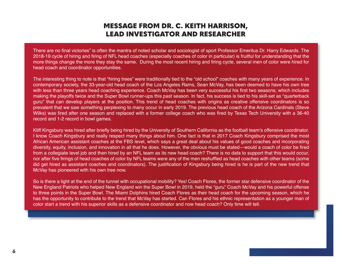## MESSAGE FROM DR. C. KEITH HARRISON, LEAD INVESTIGATOR AND RESEARCHER

There are no final victories" is often the mantra of noted scholar and sociologist of sport Professor Emeritus Dr. Harry Edwards. The 2018-19 cycle of hiring and firing of NFL head coaches (especially coaches of color in particular) is fruitful for understanding that the more things change the more they stay the same. During the most recent hiring and firing cycle, several men of color were hired for head coach and coordinator opportunities.

The interesting thing to note is that "hiring trees" were traditionally tied to the "old school" coaches with many years of experience. In contemporary society, the 33-year-old head coach of the Los Angeles Rams, Sean McVay, has been deemed to have his own tree with less than three years head coaching experience. Coach McVay has been very successful his first two seasons, which includes making the playoffs twice and the Super Bowl runner-ups this past season. In fact, his success is tied to his skill-set as "quarterback guru" that can develop players at the position. This trend of head coaches with origins as creative offensive coordinators is so prevalent that we saw something perplexing to many occur in early 2019. The previous head coach of the Arizona Cardinals (Steve Wilks) was fired after one season and replaced with a former college coach who was fired by Texas Tech University with a 36-40 record and 1-2 record in bowl games.

Kliff Kingsbury was hired after briefly being hired by the University of Southern California as the football team's offensive coordinator. I know Coach Kingsbury and really respect many things about him. One fact is that in 2017 Coach Kingsbury comprised the most African American assistant coaches at the FBS level, which says a great deal about his values of good coaches and incorporating diversity, equity, inclusion, and innovation in all that he does. However, the obvious must be stated—would a coach of color be fired from a collegiate level job and then hired by an NFL team as its new head coach? There is no data to support that this would occur, nor after five firings of head coaches of color by NFL teams were any of the men reshuffled as head coaches with other teams (some did get hired as assistant coaches and coordinators). The justification of Kingsbury being hired is he is part of the new trend that McVay has pioneered with his own tree now.

So is there a light at the end of the tunnel with occupational mobility? Yes! Coach Flores, the former star defensive coordinator of the New England Patriots who helped New England win the Super Bowl in 2019, held the "guru" Coach McVay and his powerful offense to three points in the Super Bowl. The Miami Dolphins hired Coach Flores as their head coach for the upcoming season, which he has the opportunity to contribute to the trend that McVay has started. Can Flores and his ethnic representation as a younger man of color start a trend with his superior skills as a defensive coordinator and now head coach? Only time will tell.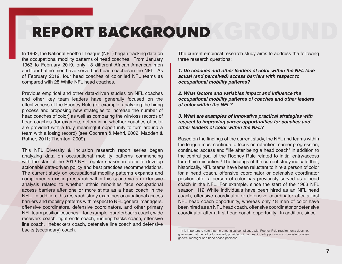# REPORT BACKGROUND REPORT BACKGROUND

In 1963, the National Football League (NFL) began tracking data on the occupational mobility patterns of head coaches. From January 1963 to February 2019, only 18 different African American men and four Latino men have served as head coaches in the NFL. As of February 2019, four head coaches of color led NFL teams as compared with 28 White NFL head coaches.

Previous empirical and other data-driven studies on NFL coaches and other key team leaders have generally focused on the effectiveness of the Rooney Rule (for example, analyzing the hiring process and proposing new strategies to increase the number of head coaches of color) as well as comparing the win/loss records of head coaches (for example, determining whether coaches of color are provided with a truly meaningful opportunity to turn around a team with a losing record) (see Cochran & Mehri, 2002; Madden & Ruther, 2011; Thornton, 2009).

This NFL Diversity & Inclusion research report series began analyzing data on occupational mobility patterns commencing with the start of the 2012 NFL regular season in order to develop actionable data-driven policy and best practices recommendations. The current study on occupational mobility patterns expands and complements existing research within this space via an extensive analysis related to whether ethnic minorities face occupational access barriers after one or more stints as a head coach in the NFL. In addition, this research study examines occupational access barriers and mobility patterns with respect to NFL general managers, offensive coordinators, defensive coordinators, and other primary NFL team position coaches—for example, quarterbacks coach, wide receivers coach, tight ends coach, running backs coach, offensive line coach, linebackers coach, defensive line coach and defensive backs (secondary) coach.

The current empirical research study aims to address the following three research questions:

*1. Do coaches and other leaders of color within the NFL face actual (and perceived) access barriers with respect to occupational mobility patterns?* 

**2. What factors and variables impact and influence the**  *occupational mobility patterns of coaches and other leaders of color within the NFL?*

*3. What are examples of innovative practical strategies with respect to improving career opportunities for coaches and other leaders of color within the NFL?*

Based on the findings of the current study, the NFL and teams within the league must continue to focus on retention, career progression, continued access and "life after being a head coach" in addition to the central goal of the Rooney Rule related to initial entry/access for ethnic minorities.<sup>1</sup> The findings of the current study indicate that, historically, NFL teams have been reluctant to hire a person of color for a head coach, offensive coordinator or defensive coordinator position after a person of color has previously served as a head coach in the NFL. For example, since the start of the 1963 NFL season, 112 White individuals have been hired as an NFL head coach, offensive coordinator or defensive coordinator after a first NFL head coach opportunity, whereas only 18 men of color have been hired as an NFL head coach, offensive coordinator or defensive coordinator after a first head coach opportunity. In addition, since

<sup>1</sup> It is important to note that mere technical compliance with Rooney Rule requirements does not guarantee that men of color are truly provided with a meaningful opportunity to compete for open general manager and head coach positions.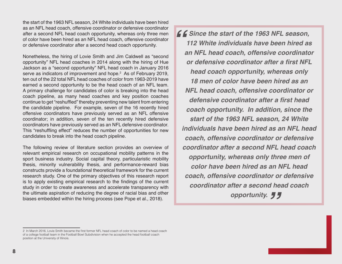the start of the 1963 NFL season, 24 White individuals have been hired as an NFL head coach, offensive coordinator or defensive coordinator after a second NFL head coach opportunity, whereas only three men of color have been hired as an NFL head coach, offensive coordinator or defensive coordinator after a second head coach opportunity.

Nonetheless, the hiring of Lovie Smith and Jim Caldwell as "second opportunity" NFL head coaches in 2014 along with the hiring of Hue Jackson as a "second opportunity" NFL head coach in January 2016 serve as indicators of improvement and hope.<sup>2</sup> As of February 2019, ten out of the 22 total NFL head coaches of color from 1963-2019 have earned a second opportunity to be the head coach of an NFL team. A primary challenge for candidates of color is breaking into the head coach pipeline, as many head coaches and key position coaches continue to get "reshuffled" thereby preventing new talent from entering the candidate pipeline. For example, seven of the 16 recently hired offensive coordinators have previously served as an NFL offensive coordinator; in addition, seven of the ten recently hired defensive coordinators have previously served as an NFL defensive coordinator. This "reshuffling effect" reduces the number of opportunities for new candidates to break into the head coach pipeline.

The following review of literature section provides an overview of relevant empirical research on occupational mobility patterns in the sport business industry. Social capital theory, particularistic mobility thesis, minority vulnerability thesis, and performance-reward bias constructs provide a foundational theoretical framework for the current research study. One of the primary objectives of this research report is to apply existing empirical research to the findings of the current study in order to create awareness and accelerate transparency with the ultimate aspiration of reducing the degree of racial bias and other biases embedded within the hiring process (see Pope et al., 2018).

**Since the start of the 1963 NFL season,<br>
112 White individuals have been hired as<br>
<b>an NFL head coach, offensive coordinato** *112 White individuals have been hired as an NFL head coach, offensive coordinator*  **or defensive coordinator after a first NFL**  *head coach opportunity, whereas only 18 men of color have been hired as an NFL head coach, offensive coordinator or*  **defensive coordinator after a first head**  *coach opportunity. In addition, since the start of the 1963 NFL season, 24 White individuals have been hired as an NFL head coach, offensive coordinator or defensive coordinator after a second NFL head coach opportunity, whereas only three men of color have been hired as an NFL head coach, offensive coordinator or defensive coordinator after a second head coach " opportunity.* 

<sup>2</sup> In March 2016, Lovie Smith became the first former NFL head coach of color to be named a head coach of a college football team in the Football Bowl Subdivision when he accepted the head football coach position at the University of Illinois.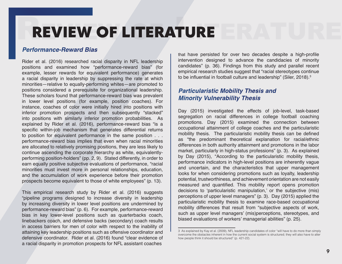# REVIEW OF LITERATURE REVIEW OF LITERATURE

## *Performance-Reward Bias*

Rider et al. (2016) researched racial disparity in NFL leadership positions and examined how "performance-reward bias" (for example, lesser rewards for equivalent performance) generates a racial disparity in leadership by suppressing the rate at which minorities—relative to equally-performing whites—are promoted to positions considered a prerequisite for organizational leadership. These scholars found that performance-reward bias was prevalent in lower level positions (for example, position coaches). For instance, coaches of color were initially hired into positions with inferior promotion prospects and then subsequently "stacked" into positions with similarly inferior promotion probabilities. As explained by Rider et al. (2016), performance-reward bias "is a specific within-job mechanism that generates differential returns to position for equivalent performance in the same position . . . performance-reward bias implies that even when racial minorities are allocated to relatively promising positions, they are less likely to continue ascending the corporate hierarchy as white, equivalentlyperforming position-holders" (pp. 2, 9). Stated differently, in order to earn equally positive subjective evaluations of performance, "racial minorities must invest more in personal relationships, education, and the accumulation of work experience before their promotion prospects become equivalent to those of white employees" (p. 13).

This empirical research study by Rider et al. (2016) suggests "pipeline programs designed to increase diversity in leadership by increasing diversity in lower level positions are undermined by performance-reward bias" (p. 6). For example, performance-reward bias in key lower-level positions such as quarterbacks coach, linebackers coach, and defensive backs (secondary) coach results in access barriers for men of color with respect to the inability of attaining key leadership positions such as offensive coordinator and defensive coordinator. Rider et al. (2016) found "clear evidence of a racial disparity in promotion prospects for NFL assistant coaches

that have persisted for over two decades despite a high-profile intervention designed to advance the candidacies of minority candidates" (p. 36). Findings from this study and parallel recent empirical research studies suggest that "racial stereotypes continue to be influential in football culture and leadership" (Siler, 2018).<sup>3</sup>

## *Particularistic Mobility Thesis and Minority Vulnerability Thesis*

Day (2015) investigated the effects of job-level, task-based segregation on racial differences in college football coaching promotions. Day (2015) examined the connection between occupational attainment of college coaches and the particularistic mobility thesis. The particularistic mobility thesis can be defined as "the predominant theoretical explanation for racial/ethnic differences in both authority attainment and promotions in the labor market, particularly in high-status professions" (p. 3). As explained by Day (2015), "According to the particularistic mobility thesis, performance indicators in high-level positions are inherently vague and uncertain, and the characteristics that upper management looks for when considering promotions such as loyalty, leadership potential, trustworthiness, and achievement orientation are not easily measured and quantified. This mobility report opens promotion decisions to 'particularistic manipulation,' or the subjective (mis) perceptions of upper level managers" (p. 3). Day (2015) applied the particularistic mobility thesis to examine race-based occupational mobility differences that result from "subjective aspects of work, such as upper level managers' (mis)perceptions, stereotypes, and biased evaluations of workers' managerial abilities" (p. 25).

<sup>3</sup> As explained by Kay et al. (2009), NFL leadership candidates of color "will have to do more than simply overcome the obstacles inherent in how the current social system is structured; they will also have to alter how people think it should be structured" (p. 421-22).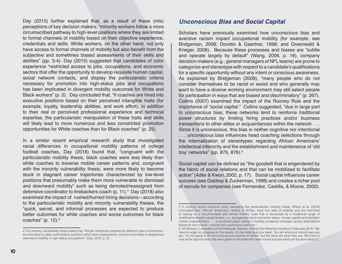Day (2015) further explained that, as a result of these (mis) perceptions of key decision makers, "minority workers follow a more circumscribed pathway to high-level positions where they are limited to formal channels of mobility based on their objective experience, credentials and skills. White workers, on the other hand, not only have access to formal channels of mobility but also benefit from the subjective and sometimes biased assessments of their skills and abilities" (pp. 3-4). Day (2015) suggested that candidates of color experience "restricted access to jobs, occupations, and economic sectors that offer the opportunity to develop requisite human capital, social network contacts, and display the particularistic criteria necessary for promotion into high-status jobs and occupations has been implicated in divergent mobility outcomes for White and Black workers" (p. 2). Day concluded that, "if coaches are hired into executive positions based on their perceived intangible traits (for example, loyalty, leadership abilities, and work effort), in addition to their real or perceived professional experience and technical expertise, the particularistic manipulation of these traits and skills will likely lead to more numerous and less constricted promotion opportunities for White coaches than for Black coaches" (p. 25).

In a similar recent empirical research study that investigated racial differences in occupational mobility patterns of college football coaches, Day (2018) found that, "congruent with the particularistic mobility thesis, black coaches were less likely than white coaches to traverse mobile career patterns and, congruent with the minority vulnerability thesis, were more likely to become stuck in stagnant career trajectories characterized by low-level positions that presumably make them more vulnerable to dismissal and downward mobility" such as being demoted/reassigned from defensive coordinator to linebackers coach (p. 11).<sup>4</sup> Day (2018) also examined the impact of rushed/hurried hiring decisions—according to the particularistic mobility and minority vulnerability theses, the "quick, secret, and informal processes are expected to produce better outcomes for white coaches and worse outcomes for black coaches" (p. 12).<sup>5</sup>

#### *Unconscious Bias and Social Capital*

Scholars have previously examined how unconscious bias and aversive racism impact occupational mobility (for example, see Bridgeman, 2008; Dovidio & Gaertner, 1998; and Greenwald & Krieger, 2006). Because these processes and biases are "subtle and operate largely by default" (Wang, 2006, p. 16), company decision-makers (e.g., general managers of NFL teams) are prone to categorize and stereotype with respect to a candidate's qualifications for a specific opportunity without any intent or conscious awareness. As explained by Bridgeman (2008), "many people who do not consider themselves to be racist or sexist and who generally may want to have a diverse working environment may still select people for participation in ways that are biased and discriminatory" (p. 267). Collins (2007) examined the impact of the Rooney Rule and the importance of "social capital." Collins suggested, "due in large part to unconscious bias; these networks tend to reinforce traditional power structures by limiting hiring practices and/or business transactions to other elites or acquaintances within the network . . . Since it is unconscious, this bias is neither cognitive nor intentional . . . unconscious bias influences head coaching selections through the internalization of stereotypes regarding African Americans' intellectual inferiority and the establishment and maintenance of 'old boy' networks" (pp. 875, 876).<sup>6</sup>

Social capital can be defined as "the goodwill that is engendered by the fabric of social relations and that can be mobilized to facilitate action" (Adler & Kwon, 2002, p. 17). Social capital influences career success (see Gabbay & Zuckerman, 1998) and creates a richer pool of recruits for companies (see Fernandez, Castilla, & Moore, 2000).

<sup>4</sup> The minority vulnerability thesis posits that "African Americans experience different rates of promotion, are less likely to attain authoritative positions within work organizations, and are more likely to experience downward mobility in high status occupations" (Day, 2018, p. 2).

<sup>5</sup> In another recent empirical study assessing the particularistic mobility thesis, Wilson et al. (2018) concluded that, "African Americans, relative to Whites, have low rates of mobility and are restricted to relying on a circumscribed and formal mobility route that is structured by a traditional range of stratification-based causal factors, i.e., background socio-economic status, human capital and job/labor market characteristics . . . a racialized glass ceiling in mobility prospects emerges across destinations based on two criteria—income and supervisory authority."

<sup>6</sup> Art Rooney II, president of the Pittsburgh Steelers, offered the following narrative in February 2019: "We have to judge our progress on the results. It's like looking at your team. You are what your record says you are. I'm not going to sit here and accuse anyone of racism, but the facts are what they are. We have to look at the opportunities that were given to minorities this latest round and see what can be done about it."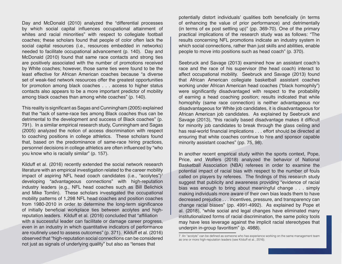Day and McDonald (2010) analyzed the "differential processes by which social capital influences occupational attainment of whites and racial minorities" with respect to collegiate football coaches; these scholars found that people of color often lack the social capital resources (i.e., resources embedded in networks) needed to facilitate occupational advancement (p. 140). Day and McDonald (2010) found that same race contacts and strong ties are positively associated with the number of promotions received by White coaches; however, those same ties were found to be the least effective for African American coaches because "a diverse set of weak-tied network resources offer the greatest opportunities for promotion among black coaches . . . access to higher status contacts also appears to be a more important predictor of mobility among black coaches than among white coaches" (p. 140).

This reality is significant as Sagas and Cunningham (2005) explained that the "lack of same-race ties among Black coaches thus can be detrimental to the development and success of Black coaches" (p. 791). In a similar empirical research study, Cunningham and Sagas (2005) analyzed the notion of access discrimination with respect to coaching positions in college athletics. These scholars found that, based on the predominance of same-race hiring practices, personnel decisions in college athletics are often influenced by "who you know who is racially similar" (p. 157).

Kilduff et al. (2016) recently extended the social network research literature with an empirical investigation related to the career mobility impact of aspiring NFL head coach candidates (i.e., "acolytes")<sup>7</sup> developing "advantageous connections" with high-reputation industry leaders (e.g., NFL head coaches such as Bill Belichick and Mike Tomlin). These scholars investigated the occupational mobility patterns of 1,298 NFL head coaches and position coaches from 1980-2010 in order to determine the long-term significance of initially beneficial workplace ties between acolytes and highreputation leaders. Kilduff et al. (2016) concluded that "affiliation with a successful leader can facilitate or damage career progress, even in an industry in which quantitative indicators of performance are routinely used to assess outcomes" (p. 371). Kilduff et al. (2016) observed that "high-reputation social connections can be considered not just as signals of underlying quality" but also as "lenses that

potentially distort individuals' qualities both beneficially (in terms of enhancing the value of prior performance) and detrimentally (in terms of ex post settling up)" (pp. 369-70). One of the primary practical implications of the research study was as follows: "The results concerning NFL promotions indicate an industry system in which social connections, rather than just skills and abilities, enable people to move into positions such as head coach" (p. 370).

Seebruck and Savage (2013) examined how an assistant coach's race and the race of his supervisor (the head coach) interact to affect occupational mobility. Seebruck and Savage (2013) found that African American collegiate basketball assistant coaches working under African American head coaches ("black homophily") were significantly disadvantaged with respect to the probability of earning a head coaching position; results indicated that while homophily (same race connection) is neither advantageous nor disadvantageous for White job candidates, it is disadvantageous for African American job candidates. As explained by Seebruck and Savage (2013), "this racially based disadvantage makes it difficult for minority job candidates to break through the glass ceiling and has real-world financial implications . . . effort should be directed at ensuring that white coaches continue to hire and sponsor capable minority assistant coaches" (pp. 75, 98).

In another recent empirical study within the sports context, Pope, Price, and Wolfers (2018) analyzed the behavior of National Basketball Association (NBA) referees in order to examine the potential impact of racial bias with respect to the number of fouls called on players by referees. The findings of this research study suggest that publicity and awareness providing "evidence of racial bias was enough to bring about meaningful change . . . simply making individuals more aware of their own bias leads them to have decreased prejudice . . . incentives, pressure, and transparency can change racial biases" (pp. 4991-4992). As explained by Pope et al. (2018), "while social and legal changes have eliminated many institutionalized forms of racial discrimination, the same policy tools may have less leverage against the implicit racial stereotypes that underpin in-group favoritism" (p. 4988).

<sup>7</sup> An "acolyte" can be defined as someone who has experience working on the same management team as one or more high-reputation leaders (see Kilduff et al., 2016).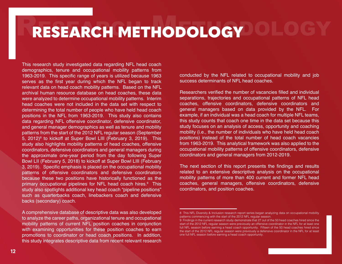# RESEARCH METHODOLOGY OLOGY

This research study investigated data regarding NFL head coach demographics, tenure and occupational mobility patterns from 1963-2019. This specific range of years is utilized because 1963 serves as the first year during which the NFL began to track relevant data on head coach mobility patterns. Based on the NFL archival human resource database on head coaches, these data were analyzed to determine occupational mobility patterns. Interim head coaches were not included in the data set with respect to determining the total number of people who have held head coach positions in the NFL from 1963-2019. This study also contains data regarding NFL offensive coordinator, defensive coordinator, and general manager demographics as well as tenure and mobility patterns from the start of the 2012 NFL regular season (September 5, 2012)<sup>8</sup> to kickoff at Super Bowl LIII (February 3, 2019). This study also highlights mobility patterns of head coaches, offensive coordinators, defensive coordinators and general managers during the approximate one-year period from the day following Super Bowl LII (February 5, 2018) to kickoff at Super Bowl LIII (February 3, 2019). Specific emphasis is placed on the occupational mobility patterns of offensive coordinators and defensive coordinators because these two positions have historically functioned as the primary occupational pipelines for NFL head coach hires.<sup>9</sup> This study also spotlights additional key head coach "pipeline positions" such as quarterbacks coach, linebackers coach and defensive backs (secondary) coach.

A comprehensive database of descriptive data was also developed to analyze the career paths, organizational tenure and occupational mobility patterns of current NFL position coaches in conjunction with examining opportunities for these position coaches to earn promotions to coordinator or head coach positions. In addition, this study integrates descriptive data from recent relevant research conducted by the NFL related to occupational mobility and job success determinants of NFL head coaches.

Researchers verified the number of vacancies filled and individual separations, trajectories and occupational patterns of NFL head coaches, offensive coordinators, defensive coordinators and general managers based on data provided by the NFL. For example, if an individual was a head coach for multiple NFL teams, this study counts that coach one time in the data set because this study focuses on an analysis of access, opportunity and coaching mobility (i.e., the number of individuals who have held head coach positions) instead of the total number of head coach vacancies from 1963-2019. This analytical framework was also applied to the occupational mobility patterns of offensive coordinators, defensive coordinators and general managers from 2012-2019.

The next section of this report presents the findings and results related to an extensive descriptive analysis on the occupational mobility patterns of more than 400 current and former NFL head coaches, general managers, offensive coordinators, defensive coordinators, and position coaches.

<sup>8</sup> This NFL Diversity & Inclusion research report series began analyzing data on occupational mobility patterns commencing with the start of the 2012 NFL regular season.

<sup>9</sup> Findings in the current research study demonstrate that 27 out of the 50 head coaches hired since the start of the 2012 NFL regular season were previously an offensive coordinator in the NFL for at least one full NFL season before earning a head coach opportunity. Fifteen of the 50 head coaches hired since the start of the 2012 NFL regular season were previously a defensive coordinator in the NFL for at least one full NFL season before earning a head coach opportunity.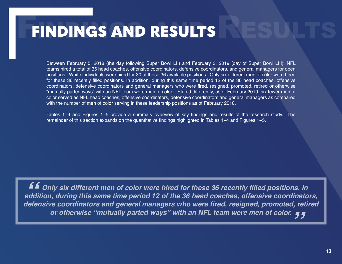# **FINDINGS AND RESULTS**

Between February 5, 2018 (the day following Super Bowl LII) and February 3, 2019 (day of Super Bowl LIII), NFL teams hired a total of 36 head coaches, offensive coordinators, defensive coordinators, and general managers for open positions. White individuals were hired for 30 of these 36 available positions. Only six different men of color were hired for these 36 recently filled positions. In addition, during this same time period 12 of the 36 head coaches, offensive coordinators, defensive coordinators and general managers who were fired, resigned, promoted, retired or otherwise "mutually parted ways" with an NFL team were men of color. Stated differently, as of February 2019, six fewer men of color served as NFL head coaches, offensive coordinators, defensive coordinators and general managers as compared with the number of men of color serving in these leadership positions as of February 2018.

Tables 1−4 and Figures 1−5 provide a summary overview of key findings and results of the research study. The remainder of this section expands on the quantitative findings highlighted in Tables 1−4 and Figures 1−5.

**Ef** Only six different men of color were hired for these 36 recently filled positions. In **addition, during this same time period 12 of the 36 head coaches, offensive coordinators, deffending** of color were hired for these 36 recently filled positions. In addition, during this same time period 12 of the 36 head coaches, offensive coordinators, defensive coordinators, defensive coordinators and gener *re coordinators and general managers who were fired, resigned, promoted, retir<br>or otherwise "mutually parted ways" with an NFL team were men of color. <sub>J</sub>*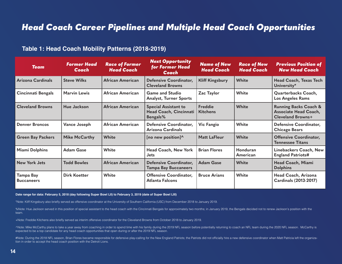## *Head Coach Career Pipelines and Multiple Head Coach Opportunities*

## **Table 1: Head Coach Mobility Patterns (2018-2019)**

| <b>Team</b>                    | <b>Former Head</b><br>Coach | <b>Race of Former</b><br><b>Head Coach</b> | <b>Next Opportunity</b><br>for Former Head<br>Coach               | <b>Name of New</b><br><b>Head Coach</b> | <b>Race of New</b><br><b>Head Coach</b> | <b>Previous Position of</b><br><b>New Head Coach</b>                                         |
|--------------------------------|-----------------------------|--------------------------------------------|-------------------------------------------------------------------|-----------------------------------------|-----------------------------------------|----------------------------------------------------------------------------------------------|
| Arizona Cardinals              | <b>Steve Wilks</b>          | African American                           | Defensive Coordinator,<br><b>Cleveland Browns</b>                 | <b>Kliff Kingsbury</b>                  | White                                   | Head Coach, Texas Tech<br>University*                                                        |
| <b>Cincinnati Bengals</b>      | <b>Marvin Lewis</b>         | African American                           | <b>Game and Studio</b><br><b>Analyst, Turner Sports</b>           | Zac Taylor                              | White                                   | Quarterbacks Coach,<br><b>Los Angeles Rams</b>                                               |
| <b>Cleveland Browns</b>        | Hue Jackson                 | <b>African American</b>                    | <b>Special Assistant to</b><br>Head Coach, Cincinnati<br>Bengals% | <b>Freddie</b><br><b>Kitchens</b>       | White                                   | <b>Running Backs Coach &amp;</b><br><b>Associate Head Coach,</b><br><b>Cleveland Browns+</b> |
| <b>Denver Broncos</b>          | Vance Joseph                | African American                           | Defensive Coordinator,<br>Arizona Cardinals                       | <b>Vic Fangio</b>                       | White                                   | Defensive Coordinator,<br><b>Chicago Bears</b>                                               |
| <b>Green Bay Packers</b>       | <b>Mike McCarthy</b>        | <b>White</b>                               | [no new position]^                                                | <b>Matt LaFleur</b>                     | <b>White</b>                            | <b>Offensive Coordinator,</b><br><b>Tennessee Titans</b>                                     |
| <b>Miami Dolphins</b>          | <b>Adam Gase</b>            | White                                      | Head Coach, New York<br><b>Jets</b>                               | <b>Brian Flores</b>                     | Honduran<br>American                    | Linebackers Coach, New<br><b>England Patriots#</b>                                           |
| <b>New York Jets</b>           | <b>Todd Bowles</b>          | <b>African American</b>                    | Defensive Coordinator,<br><b>Tampa Bay Buccaneers</b>             | <b>Adam Gase</b>                        | White                                   | Head Coach, Miami<br><b>Dolphins</b>                                                         |
| Tampa Bay<br><b>Buccaneers</b> | <b>Dirk Koetter</b>         | White                                      | <b>Offensive Coordinator,</b><br><b>Atlanta Falcons</b>           | <b>Bruce Arians</b>                     | White                                   | Head Coach, Arizona<br>Cardinals (2013-2017)                                                 |

**Date range for data: February 5, 2018 (day following Super Bowl LII) to February 3, 2019 (date of Super Bowl LIII)**

\*Note: Kliff Kingsbury also briefly served as offensive coordinator at the University of Southern California (USC) from December 2018 to January 2019.

%Note: Hue Jackson served in this position of special assistant to the head coach with the Cincinnati Bengals for approximately two months; in January 2019, the Bengals decided not to renew Jackson's position with the team.

+Note: Freddie Kitchens also briefly served as interim offensive coordinator for the Cleveland Browns from October 2018 to January 2019.

^Note: Mike McCarthy plans to take a year away from coaching in order to spend time with his family during the 2019 NFL season before potentially returning to coach an NFL team during the 2020 NFL season. McCarthy is expected to be a top candidate for any head coach opportunities that open during or after the 2019 NFL season.

#Note: During the 2018 NFL season, Brian Flores became responsible for defensive play-calling for the New England Patriots; the Patriots did not officially hire a new defensive coordinator when Matt Patricia left the organ tion in order to accept the head coach position with the Detroit Lions.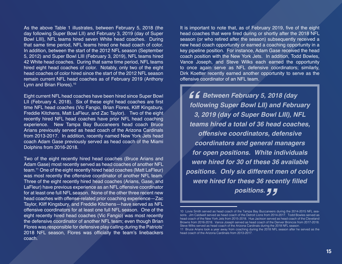As the above Table 1 illustrates, between February 5, 2018 (the day following Super Bowl LII) and February 3, 2019 (day of Super Bowl LIII), NFL teams hired seven White head coaches. During that same time period, NFL teams hired one head coach of color. In addition, between the start of the 2012 NFL season (September 5, 2012) and Super Bowl LIII (February 3, 2019), NFL teams hired 42 White head coaches. During that same time period, NFL teams hired eight head coaches of color. Notably, only two of the eight head coaches of color hired since the start of the 2012 NFL season remain current NFL head coaches as of February 2019 (Anthony Lynn and Brian Flores).<sup>10</sup>

Eight current NFL head coaches have been hired since Super Bowl LII (February 4, 2018). Six of these eight head coaches are first time NFL head coaches (Vic Fangio, Brian Flores, Kliff Kingsbury, Freddie Kitchens, Matt LaFleur, and Zac Taylor). Two of the eight recently hired NFL head coaches have prior NFL head coaching experience. New Tampa Bay Buccaneers head coach Bruce Arians previously served as head coach of the Arizona Cardinals from 2013-2017. In addition, recently named New York Jets head coach Adam Gase previously served as head coach of the Miami Dolphins from 2016-2018.

Two of the eight recently hired head coaches (Bruce Arians and Adam Gase) most recently served as head coaches of another NFL team.<sup>11</sup> One of the eight recently hired head coaches (Matt LaFleur) was most recently the offensive coordinator of another NFL team. Three of the eight recently hired head coaches (Arians, Gase, and LaFleur) have previous experience as an NFL offensive coordinator for at least one full NFL season. None of the other three recent new head coaches with offense-related prior coaching experience—Zac Taylor, Kliff Kingsbury, and Freddie Kitchens—have served as NFL offensive coordinators for at least one full NFL season. One of the eight recently hired head coaches (Vic Fangio) was most recently the defensive coordinator of another NFL team; even though Brian Flores was responsible for defensive play calling during the Patriots' 2018 NFL season, Flores was officially the team's linebackers coach.

It is important to note that, as of February 2019, five of the eight head coaches that were fired during or shortly after the 2018 NFL season (or who retired after the season) subsequently received a new head coach opportunity or earned a coaching opportunity in a key pipeline position. For instance, Adam Gase received the head coach position with the New York Jets. In addition, Todd Bowles, Vance Joseph, and Steve Wilks each earned the opportunity to once again serve as NFL defensive coordinators; similarly, Dirk Koetter recently earned another opportunity to serve as the offensive coordinator of an NFL team.

*B Between February 5, 2018 (day following Super Bowl LII) and Febru*<br>3, 2019 (day of Super Bowl LIII), N *following Super Bowl LII) and February 3, 2019 (day of Super Bowl LIII), NFL teams hired a total of 36 head coaches, offensive coordinators, defensive coordinators and general managers for open positions. White individuals were hired for 30 of these 36 available positions. Only six different men of color*  **were hired for these 36 recently filled**  *" positions.*

<sup>10</sup> Lovie Smith served as head coach of the Tampa Bay Buccaneers during the 2014-2015 NFL seasons. Jim Caldwell served as head coach of the Detroit Lions from 2014-2017. Todd Bowles served as head coach of the New York Jets from 2015-2018. Hue Jackson served as head coach of the Cleveland Browns from 2016-2018. Vance Joseph served as head coach of the Denver Broncos from 2017-2018. Steve Wilks served as head coach of the Arizona Cardinals during the 2018 NFL season.

<sup>11</sup> Bruce Arians took a year away from coaching during the 2018 NFL season after he served as the head coach of the Arizona Cardinals from 2013-2017.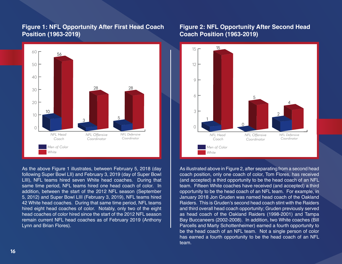## **Figure 1: NFL Opportunity After First Head Coach Position (1963-2019)**



As the above Figure 1 illustrates, between February 5, 2018 (day following Super Bowl LII) and February 3, 2019 (day of Super Bowl LIII), NFL teams hired seven White head coaches. During that same time period, NFL teams hired one head coach of color. In addition, between the start of the 2012 NFL season (September 5, 2012) and Super Bowl LIII (February 3, 2019), NFL teams hired 42 White head coaches. During that same time period, NFL teams hired eight head coaches of color. Notably, only two of the eight head coaches of color hired since the start of the 2012 NFL season remain current NFL head coaches as of February 2019 (Anthony Lynn and Brian Flores).

## **Figure 2: NFL Opportunity After Second Head Coach Position (1963-2019)**



As illustrated above in Figure 2, after separating from a second head coach position, only one coach of color, Tom Flores, has received (and accepted) a third opportunity to be the head coach of an NFL team. Fifteen White coaches have received (and accepted) a third opportunity to be the head coach of an NFL team. For example, in January 2018 Jon Gruden was named head coach of the Oakland Raiders. This is Gruden's second head coach stint with the Raiders and third overall head coach opportunity; Gruden previously served as head coach of the Oakland Raiders (1998-2001) and Tampa Bay Buccaneers (2002-2008). In addition, two White coaches (Bill Parcells and Marty Schottenheimer) earned a fourth opportunity to be the head coach of an NFL team. Not a single person of color has earned a fourth opportunity to be the head coach of an NFL team.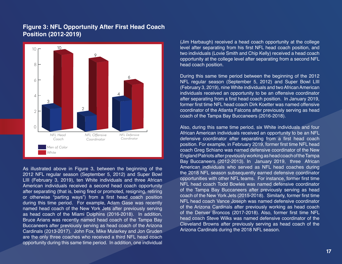## **Figure 3: NFL Opportunity After First Head Coach Position (2012-2019)**



As illustrated above in Figure 3, between the beginning of the 2012 NFL regular season (September 5, 2012) and Super Bowl LIII (February 3, 2019), ten White individuals and three African American individuals received a second head coach opportunity after separating (that is, being fired or promoted, resigning, retiring or otherwise "parting ways") from a first head coach position during this time period. For example, Adam Gase was recently named head coach of the New York Jets after previously serving as head coach of the Miami Dolphins (2016-2018). In addition, Bruce Arians was recently named head coach of the Tampa Bay Buccaneers after previously serving as head coach of the Arizona Cardinals (2013-2017). John Fox, Mike Mularkey and Jon Gruden are the only three coaches who received a third NFL head coach opportunity during this same time period. In addition, one individual (Jim Harbaugh) received a head coach opportunity at the college level after separating from his first NFL head coach position, and two individuals (Lovie Smith and Chip Kelly) received a head coach opportunity at the college level after separating from a second NFL head coach position.

During this same time period between the beginning of the 2012 NFL regular season (September 5, 2012) and Super Bowl LIII (February 3, 2019), nine White individuals and two African American individuals received an opportunity to be an offensive coordinator after separating from a first head coach position. In January 2019, former first time NFL head coach Dirk Koetter was named offensive coordinator of the Atlanta Falcons after previously serving as head coach of the Tampa Bay Buccaneers (2016-2018).

Also, during this same time period, six White individuals and four African American individuals received an opportunity to be an NFL defensive coordinator after separating from a first head coach position. For example, in February 2019, former first time NFL head coach Greg Schiano was named defensive coordinator of the New England Patriots after previously working as head coach of the Tampa Bay Buccaneers (2012-2013). In January 2019, three African American individuals who served as NFL head coaches during the 2018 NFL season subsequently earned defensive coordinator opportunities with other NFL teams. For instance, former first time NFL head coach Todd Bowles was named defensive coordinator of the Tampa Bay Buccaneers after previously serving as head coach of the New York Jets (2015-2018). Similarly, former first time NFL head coach Vance Joseph was named defensive coordinator of the Arizona Cardinals after previously working as head coach of the Denver Broncos (2017-2018). Also, former first time NFL head coach Steve Wilks was named defensive coordinator of the Cleveland Browns after previously serving as head coach of the Arizona Cardinals during the 2018 NFL season.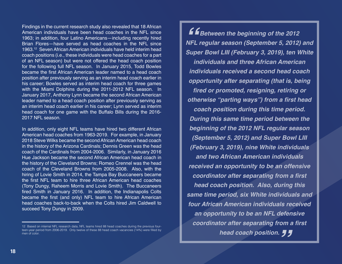Findings in the current research study also revealed that 18 African American individuals have been head coaches in the NFL since 1963; in addition, four Latino Americans—including recently hired Brian Flores—have served as head coaches in the NFL since 1963.12 Seven African American individuals have held interim head coach positions (i.e., these individuals were head coaches for a part of an NFL season) but were not offered the head coach position for the following full NFL season. In January 2015, Todd Bowles became the first African American leader named to a head coach position after previously serving as an interim head coach earlier in his career; Bowles served as interim head coach for three games with the Miami Dolphins during the 2011-2012 NFL season. In January 2017, Anthony Lynn became the second African American leader named to a head coach position after previously serving as an interim head coach earlier in his career; Lynn served as interim head coach for one game with the Buffalo Bills during the 2016- 2017 NFL season.

In addition, only eight NFL teams have hired two different African American head coaches from 1963-2019. For example, in January 2018 Steve Wilks became the second African American head coach in the history of the Arizona Cardinals; Dennis Green was the head coach of the Cardinals from 2004-2006. Similarly, in January 2016 Hue Jackson became the second African American head coach in the history of the Cleveland Browns; Romeo Crennel was the head coach of the Cleveland Browns from 2005-2008. Also, with the hiring of Lovie Smith in 2014, the Tampa Bay Buccaneers became the first NFL team to hire three African American head coaches (Tony Dungy, Raheem Morris and Lovie Smith). The Buccaneers fired Smith in January 2016. In addition, the Indianapolis Colts became the first (and only) NFL team to hire African American head coaches back-to-back when the Colts hired Jim Caldwell to succeed Tony Dungy in 2009.

*<u>E E Between the beginning of the 2012</u><br>
NFL regular season (September 5, 2012)<br>
Super Bowl I III (February 3, 2019), ten W* **coordinator after separating from a first**<br>head coach position. **J J** *NFL regular season (September 5, 2012) and Super Bowl LIII (February 3, 2019), ten White individuals and three African American individuals received a second head coach opportunity after separating (that is, being*  **fired or promoted, resigning, retiring or otherwise "parting ways") from a first head**  *coach position during this time period. During this same time period between the beginning of the 2012 NFL regular season (September 5, 2012) and Super Bowl LIII (February 3, 2019), nine White individuals and two African American individuals received an opportunity to be an offensive*  **coordinator after separating from a first**  *head coach position. Also, during this same time period, six White individuals and four African American individuals received an opportunity to be an NFL defensive head coach position.*

<sup>12</sup> Based on internal NFL research data, NFL teams hired 88 head coaches during the previous fourteen-year period from 2006-2019. Only twelve of these 88 head coach vacancies (14%) were filled by men of color.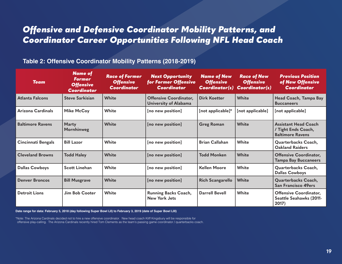## *Offensive and Defensive Coordinator Mobility Patterns, and Coordinator Career Opportunities Following NFL Head Coach*

## **Table 2: Offensive Coordinator Mobility Patterns (2018-2019)**

| <b>Team</b>               | <b>Name of</b><br><b>Former</b><br><b>Offensive</b><br><b>Coordinator</b> | <b>Race of Former</b><br><b>Offensive</b><br><b>Coordinator</b> | <b>Next Opportunity</b><br>for Former Offensive<br><b>Coordinator</b> | <b>Name of New</b><br><b>Offensive</b><br>Coordinator(s) | <b>Race of New</b><br><b>Offensive</b><br><b>Coordinator(s)</b> | <b>Previous Position</b><br>of New Offensive<br><b>Coordinator</b>            |
|---------------------------|---------------------------------------------------------------------------|-----------------------------------------------------------------|-----------------------------------------------------------------------|----------------------------------------------------------|-----------------------------------------------------------------|-------------------------------------------------------------------------------|
| <b>Atlanta Falcons</b>    | <b>Steve Sarkisian</b>                                                    | <b>White</b>                                                    | <b>Offensive Coordinator,</b><br>University of Alabama                | <b>Dirk Koetter</b>                                      | White                                                           | Head Coach, Tampa Bay<br><b>Buccaneers</b>                                    |
| Arizona Cardinals         | <b>Mike McCoy</b>                                                         | White                                                           | [no new position]                                                     | [not applicable]*                                        | [not applicable]                                                | [not applicable]                                                              |
| <b>Baltimore Ravens</b>   | <b>Marty</b><br>Mornhinweg                                                | White                                                           | [no new position]                                                     | <b>Greg Roman</b>                                        | <b>White</b>                                                    | <b>Assistant Head Coach</b><br>/ Tight Ends Coach,<br><b>Baltimore Ravens</b> |
| <b>Cincinnati Bengals</b> | <b>Bill Lazor</b>                                                         | White                                                           | [no new position]                                                     | <b>Brian Callahan</b>                                    | White                                                           | Quarterbacks Coach,<br><b>Oakland Raiders</b>                                 |
| <b>Cleveland Browns</b>   | <b>Todd Haley</b>                                                         | White                                                           | [no new position]                                                     | <b>Todd Monken</b>                                       | White                                                           | <b>Offensive Coordinator,</b><br><b>Tampa Bay Buccaneers</b>                  |
| <b>Dallas Cowboys</b>     | <b>Scott Linehan</b>                                                      | White                                                           | [no new position]                                                     | <b>Kellen Moore</b>                                      | White                                                           | Quarterbacks Coach,<br><b>Dallas Cowboys</b>                                  |
| <b>Denver Broncos</b>     | <b>Bill Musgrave</b>                                                      | <b>White</b>                                                    | [no new position]                                                     | <b>Rich Scangarello</b>                                  | <b>White</b>                                                    | Quarterbacks Coach,<br><b>San Francisco 49ers</b>                             |
| <b>Detroit Lions</b>      | Jim Bob Cooter                                                            | White                                                           | <b>Running Backs Coach,</b><br><b>New York Jets</b>                   | <b>Darrell Bevell</b>                                    | White                                                           | <b>Offensive Coordinator,</b><br><b>Seattle Seahawks (2011-</b><br>2017)      |

**Date range for data: February 5, 2018 (day following Super Bowl LII) to February 3, 2019 (date of Super Bowl LIII)**

\*Note: The Arizona Cardinals decided not to hire a new offensive coordinator. New head coach Kliff Kingsbury will be responsible for offensive play-calling. The Arizona Cardinals recently hired Tom Clements as the team's passing game coordinator / quarterbacks coach.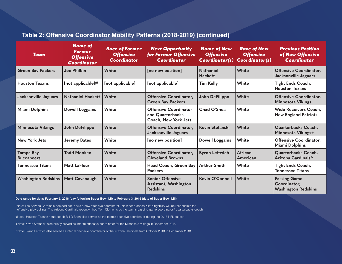## **Table 2: Offensive Coordinator Mobility Patterns (2018-2019) (continued)**

| <b>Team</b>                           | <b>Name of</b><br><b>Former</b><br><b>Offensive</b><br><b>Coordinator</b> | <b>Race of Former</b><br><b>Offensive</b><br><b>Coordinator</b> | <b>Next Opportunity</b><br>for Former Offensive<br>Coordinator           | <b>Name of New</b><br><b>Offensive</b><br><b>Coordinator(s)</b> | <b>Race of New</b><br><b>Offensive</b><br><b>Coordinator(s)</b> | <b>Previous Position</b><br>of New Offensive<br><b>Coordinator</b> |
|---------------------------------------|---------------------------------------------------------------------------|-----------------------------------------------------------------|--------------------------------------------------------------------------|-----------------------------------------------------------------|-----------------------------------------------------------------|--------------------------------------------------------------------|
| <b>Green Bay Packers</b>              | <b>Joe Philbin</b>                                                        | White                                                           | [no new position]                                                        | <b>Nathaniel</b><br><b>Hackett</b>                              | <b>White</b>                                                    | <b>Offensive Coordinator,</b><br>Jacksonville Jaguars              |
| <b>Houston Texans</b>                 | [not applicable]#                                                         | [not applicable]                                                | [not applicable]                                                         | <b>Tim Kelly</b>                                                | White                                                           | <b>Tight Ends Coach,</b><br><b>Houston Texans</b>                  |
| Jacksonville Jaguars                  | <b>Nathaniel Hackett</b>                                                  | White                                                           | <b>Offensive Coordinator,</b><br><b>Green Bay Packers</b>                | John DeFilippo                                                  | <b>White</b>                                                    | <b>Offensive Coordinator,</b><br><b>Minnesota Vikings</b>          |
| <b>Miami Dolphins</b>                 | <b>Dowell Loggains</b>                                                    | White                                                           | <b>Offensive Coordinator</b><br>and Quarterbacks<br>Coach, New York Jets | Chad O'Shea                                                     | White                                                           | <b>Wide Receivers Coach,</b><br><b>New England Patriots</b>        |
| <b>Minnesota Vikings</b>              | John DeFilippo                                                            | White                                                           | <b>Offensive Coordinator,</b><br><b>Jacksonville Jaguars</b>             | Kevin Stefanski                                                 | White                                                           | Quarterbacks Coach,<br>Minnesota Vikings+                          |
| <b>New York Jets</b>                  | <b>Jeremy Bates</b>                                                       | White                                                           | [no new position]                                                        | <b>Dowell Loggains</b>                                          | <b>White</b>                                                    | Offensive Coordinator,<br><b>Miami Dolphins</b>                    |
| <b>Tampa Bay</b><br><b>Buccaneers</b> | <b>Todd Monken</b>                                                        | White                                                           | <b>Offensive Coordinator,</b><br><b>Cleveland Browns</b>                 | <b>Byron Leftwich</b>                                           | African<br>American                                             | Quarterbacks Coach,<br>Arizona Cardinals^                          |
| <b>Tennessee Titans</b>               | <b>Matt LaFleur</b>                                                       | White                                                           | Head Coach, Green Bay<br><b>Packers</b>                                  | <b>Arthur Smith</b>                                             | White                                                           | <b>Tight Ends Coach,</b><br><b>Tennessee Titans</b>                |
| <b>Waahington Redskins</b>            | <b>Matt Cavanaugh</b>                                                     | White                                                           | <b>Senior Offensive</b><br>Assistant, Washington<br><b>Redskins</b>      | <b>Kevin O'Connell</b>                                          | <b>White</b>                                                    | <b>Passing Game</b><br>Coordinator,<br><b>Washington Redskins</b>  |

**Date range for data: February 5, 2018 (day following Super Bowl LII) to February 3, 2019 (date of Super Bowl LIII)**

\*Note: The Arizona Cardinals decided not to hire a new offensive coordinator. New head coach Kliff Kingsbury will be responsible for offensive play-calling. The Arizona Cardinals recently hired Tom Clements as the team's passing game coordinator / quarterbacks coach.

#Note: Houston Texans head coach Bill O'Brien also served as the team's offensive coordinator during the 2018 NFL season.

+Note: Kevin Stefanski also briefly served as interim offensive coordinator for the Minnesota Vikings in December 2018.

^Note: Byron Leftwich also served as interim offensive coordinator of the Arizona Cardinals from October 2018 to December 2018.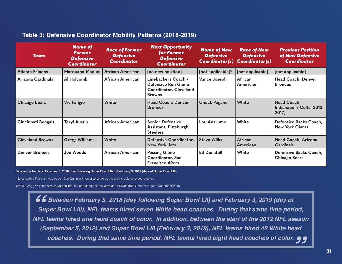| Table 3: Defensive Coordinator Mobility Patterns (2018-2019) |  |
|--------------------------------------------------------------|--|
|--------------------------------------------------------------|--|

| <b>Team</b>               | <b>Name of</b><br><b>Former</b><br><b>Defensive</b><br><b>Coordinator</b> | <b>Race of Former</b><br><b>Defensive</b><br><b>Coordinator</b> | <b>Next Opportunity</b><br>for Former<br><b>Defensive</b><br><b>Coordinator</b>                    | <b>Name of New</b><br><b>Defensive</b><br><b>Coordinator(s)</b> | <b>Race of New</b><br><b>Defensive</b><br><b>Coordinator(s)</b> | <b>Previous Position</b><br>of New Defensive<br><b>Coordinator</b> |
|---------------------------|---------------------------------------------------------------------------|-----------------------------------------------------------------|----------------------------------------------------------------------------------------------------|-----------------------------------------------------------------|-----------------------------------------------------------------|--------------------------------------------------------------------|
| <b>Atlanta Falcons</b>    | <b>Marquand Manuel</b>                                                    | <b>African American</b>                                         | [no new position]                                                                                  | [not applicable]*                                               | [not applicable]                                                | [not applicable]                                                   |
| Arizona Cardinals         | Al Holcomb                                                                | African American                                                | Linebackers Coach /<br><b>Defensive Run Game</b><br><b>Coordinator, Cleveland</b><br><b>Browns</b> | <b>Vance Joseph</b>                                             | African<br>American                                             | <b>Head Coach, Denver</b><br><b>Broncos</b>                        |
| <b>Chicago Bears</b>      | <b>Vic Fangio</b>                                                         | <b>White</b>                                                    | <b>Head Coach, Denver</b><br><b>Broncos</b>                                                        | <b>Chuck Pagano</b>                                             | White                                                           | Head Coach,<br>Indianapolis Colts (2012-<br>2017)                  |
| <b>Cincinnati Bengals</b> | <b>Teryl Austin</b>                                                       | African American                                                | <b>Senior Defensive</b><br>Assistant, Pittsburgh<br><b>Steelers</b>                                | Lou Anarumo                                                     | White                                                           | Defensive Backs Coach,<br><b>New York Giants</b>                   |
| <b>Cleveland Browns</b>   | <b>Gregg Williams+</b>                                                    | <b>White</b>                                                    | Defensive Coordinator,<br><b>New York Jets</b>                                                     | <b>Steve Wilks</b>                                              | African<br>American                                             | Head Coach, Arizona<br><b>Cardinals</b>                            |
| <b>Denver Broncos</b>     | Joe Woods                                                                 | <b>African American</b>                                         | <b>Passing Game</b><br>Coordinator, San<br><b>Francisco 49ers</b>                                  | <b>Ed Donatell</b>                                              | White                                                           | Defensive Backs Coach,<br><b>Chicago Bears</b>                     |

**Date range for data: February 5, 2018 (day following Super Bowl LII) to February 3, 2019 (date of Super Bowl LIII)**

\*Note: Atlanta Falcons head coach Dan Quinn will now also serve as the team's defensive coordinator.

+Note: Gregg Williams also served as interim head coach of the Cleveland Browns from October 2018 to December 2018.

*Between February 5, 2018 (day following Super Bowl LII) and February 3, 2019 (day of Super Bowl LIII), NFL teams hired seven White head coaches. During that same time period, N* Between February 5, 2018 (day following Super Bowl LII) and February 3, 2019 (day of<br>Super Bowl LIII), NFL teams hired seven White head coaches. During that same time period,<br>NFL teams hired one head coach of color. In *(September 5, 2012) and Super Bowl LIII (February 3, 2019), NFL teams hired 42 White head*  eptember 5, 2012) and Super Bowl LIII (February 3, 2019), NFL teams hired 42 White head<br>coaches. During that same time period, NFL teams hired eight head coaches of color. ¶ ¶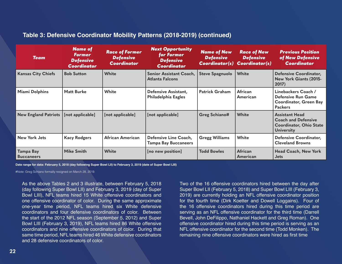| <b>Team</b>                    | <b>Name of</b><br><b>Former</b><br><b>Defensive</b><br><b>Coordinator</b> | <b>Race of Former</b><br><b>Defensive</b><br><b>Coordinator</b> | <b>Next Opportunity</b><br>for Former<br><b>Defensive</b><br><b>Coordinator</b> | <b>Name of New</b><br><b>Defensive</b><br><b>Coordinator(s)</b> | <b>Race of New</b><br><b>Defensive</b><br><b>Coordinator(s)</b> | <b>Previous Position</b><br>of New Defensive<br><b>Coordinator</b>                                         |
|--------------------------------|---------------------------------------------------------------------------|-----------------------------------------------------------------|---------------------------------------------------------------------------------|-----------------------------------------------------------------|-----------------------------------------------------------------|------------------------------------------------------------------------------------------------------------|
| <b>Kansas City Chiefs</b>      | <b>Bob Sutton</b>                                                         | <b>White</b>                                                    | Senior Assistant Coach,<br><b>Atlanta Falcons</b>                               | <b>Steve Spagnuolo</b>                                          | <b>White</b>                                                    | Defensive Coordinator,<br>New York Giants (2015-<br>2017)                                                  |
| <b>Miami Dolphins</b>          | <b>Matt Burke</b>                                                         | White                                                           | Defensive Assistant,<br><b>Philadelphia Eagles</b>                              | <b>Patrick Graham</b>                                           | African<br>American                                             | Linebackers Coach /<br><b>Defensive Run Game</b><br>Coordinator, Green Bay<br><b>Packers</b>               |
| <b>New England Patriots</b>    | [not applicable]                                                          | [not applicable]                                                | [not applicable]                                                                | <b>Greg Schiano#</b>                                            | <b>White</b>                                                    | <b>Assistant Head</b><br><b>Coach and Defensive</b><br><b>Coordinator, Ohio State</b><br><b>University</b> |
| <b>New York Jets</b>           | <b>Kacy Rodgers</b>                                                       | African American                                                | Defensive Line Coach,<br><b>Tampa Bay Buccaneers</b>                            | <b>Gregg Williams</b>                                           | White                                                           | Defensive Coordinator,<br><b>Cleveland Browns</b>                                                          |
| Tampa Bay<br><b>Buccaneers</b> | Mike Smith                                                                | <b>White</b>                                                    | [no new position]                                                               | <b>Todd Bowles</b>                                              | African<br>American                                             | <b>Head Coach, New York</b><br><b>Jets</b>                                                                 |

**Date range for data: February 5, 2018 (day following Super Bowl LII) to February 3, 2019 (date of Super Bowl LIII)**

#Note: Greg Schiano formally resigned on March 28, 2019.

As the above Tables 2 and 3 illustrate, between February 5, 2018 (day following Super Bowl LII) and February 3, 2019 (day of Super Bowl LIII), NFL teams hired 15 White offensive coordinators and one offensive coordinator of color. During the same approximate one-year time period, NFL teams hired six White defensive coordinators and four defensive coordinators of color. Between the start of the 2012 NFL season (September 5, 2012) and Super Bowl LIII (February 3, 2019), NFL teams hired 86 White offensive coordinators and nine offensive coordinators of color. During that same time period, NFL teams hired 46 White defensive coordinators and 28 defensive coordinators of color.

Two of the 16 offensive coordinators hired between the day after Super Bowl LII (February 5, 2018) and Super Bowl LIII (February 3, 2019) are currently holding an NFL offensive coordinator position for the fourth time (Dirk Koetter and Dowell Loggains). Four of the 16 offensive coordinators hired during this time period are serving as an NFL offensive coordinator for the third time (Darrell Bevell, John DeFilippo, Nathaniel Hackett and Greg Roman). One offensive coordinator hired during this time period is serving as an NFL offensive coordinator for the second time (Todd Monken). The remaining nine offensive coordinators were hired as first time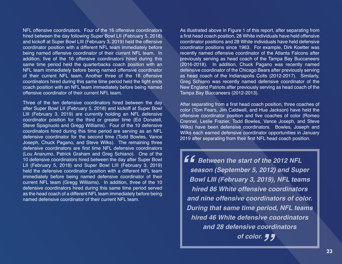NFL offensive coordinators. Four of the 16 offensive coordinators hired between the day following Super Bowl LII (February 5, 2018) and kickoff at Super Bowl LIII (February 3, 2019) held the offensive coordinator position with a different NFL team immediately before being named offensive coordinator of their current NFL team. In addition, five of the 16 offensive coordinators hired during this same time period held the quarterbacks coach position with an NFL team immediately before being named offensive coordinator of their current NFL team. Another three of the 16 offensive coordinators hired during this same time period held the tight ends coach position with an NFL team immediately before being named offensive coordinator of their current NFL team.

Three of the ten defensive coordinators hired between the day after Super Bowl LII (February 5, 2018) and kickoff at Super Bowl LIII (February 3, 2019) are currently holding an NFL defensive coordinator position for the third or greater time (Ed Donatell, Steve Spagnuolo and Gregg Williams). Four of the 10 defensive coordinators hired during this time period are serving as an NFL defensive coordinator for the second time (Todd Bowles, Vance Joseph, Chuck Pagano, and Steve Wilks). The remaining three defensive coordinators are first time NFL defensive coordinators (Lou Anarumo, Patrick Graham and Greg Schiano). One of the 10 defensive coordinators hired between the day after Super Bowl LII (February 5, 2018) and Super Bowl LIII (February 3, 2019) held the defensive coordinator position with a different NFL team immediately before being named defensive coordinator of their current NFL team (Gregg Williams). In addition, three of the 10 defensive coordinators hired during this same time period served as the head coach of a different NFL team immediately before being named defensive coordinator of their current NFL team.

As illustrated above in Figure 1 of this report, after separating from a first head coach position, 28 White individuals have held offensive coordinator positions and 28 White individuals have held defensive coordinator positions since 1963. For example, Dirk Koetter was recently named offensive coordinator of the Atlanta Falcons after previously serving as head coach of the Tampa Bay Buccaneers (2016-2018). In addition, Chuck Pagano was recently named defensive coordinator of the Chicago Bears after previously serving as head coach of the Indianapolis Colts (2012-2017). Similarly, Greg Schiano was recently named defensive coordinator of the New England Patriots after previously serving as head coach of the Tampa Bay Buccaneers (2012-2013).

After separating from a first head coach position, three coaches of color (Tom Fears, Jim Caldwell, and Hue Jackson) have held the offensive coordinator position and five coaches of color (Romeo Crennel, Leslie Frazier, Todd Bowles, Vance Joseph, and Steve Wilks) have been defensive coordinators. Bowles, Joseph and Wilks each earned defensive coordinator opportunities in January 2019 after separating from their first NFL head coach position.

**E £** Between the start of the 2012 NFL<br>
season (September 5, 2012) and Sup<br>
Bowl LIII (February 3, 2019). NFL tear *season (September 5, 2012) and Super Bowl LIII (February 3, 2019), NFL teams hired 86 White offensive coordinators and nine offensive coordinators of color. During that same time period, NFL teams hired 46 White defensive coordinators and 28 defensive coordinators " of color.*

**23**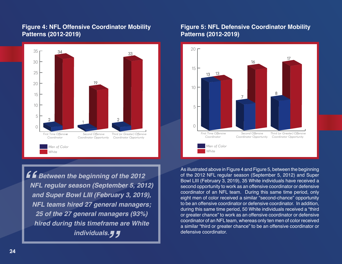## **Figure 4: NFL Offensive Coordinator Mobility Patterns (2012-2019)**



*Butween the beginning of the 2012<br>I MFL regular season (September 5, 2014<br>I and Super Bowl LIII (February 3, 2019 NFL regular season (September 5, 2012) and Super Bowl LIII (February 3, 2019), NFL teams hired 27 general managers; 25 of the 27 general managers (93%) hired during this timeframe are White " individuals.* 

## **Figure 5: NFL Defensive Coordinator Mobility Patterns (2012-2019)**



As illustrated above in Figure 4 and Figure 5, between the beginning of the 2012 NFL regular season (September 5, 2012) and Super Bowl LIII (February 3, 2019), 35 White individuals have received a second opportunity to work as an offensive coordinator or defensive coordinator of an NFL team. During this same time period, only eight men of color received a similar "second-chance" opportunity to be an offensive coordinator or defensive coordinator. In addition, during this same time period, 50 White individuals received a "third or greater chance" to work as an offensive coordinator or defensive coordinator of an NFL team, whereas only ten men of color received a similar "third or greater chance" to be an offensive coordinator or defensive coordinator.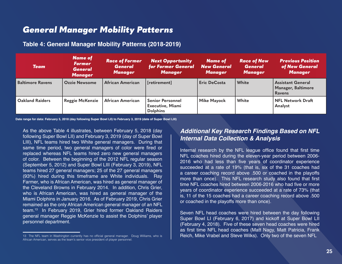## *General Manager Mobility Patterns*

## **Table 4: General Manager Mobility Patterns (2018-2019)**

| <b>Team</b>             | <b>Name of</b><br><b>Former</b><br><b>General</b><br><b>Manager</b> | <b>Race of Former</b><br><b>General</b><br><b>Manager</b> | <b>Next Opportunity</b><br>for Former General<br><b>Manager</b> | <b>Name of</b><br><b>New General</b><br><b>Manager</b> | <b>Race of New</b><br><b>General</b><br><b>Manager</b> | <b>Previous Position</b><br>of New General<br><b>Manager</b>    |
|-------------------------|---------------------------------------------------------------------|-----------------------------------------------------------|-----------------------------------------------------------------|--------------------------------------------------------|--------------------------------------------------------|-----------------------------------------------------------------|
| <b>Baltimore Ravens</b> | <b>Ozzie Newsome</b>                                                | <b>African American</b>                                   | [retirement]                                                    | <b>Eric DeCosta</b>                                    | White                                                  | <b>Assistant General</b><br>Manager, Baltimore<br><b>Ravens</b> |
| <b>Oakland Raiders</b>  | <b>Reggie McKenzie</b>                                              | <b>African American</b>                                   | <b>Senior Personnel</b><br>Executive, Miami<br><b>Dolphins</b>  | <b>Mike Mayock</b>                                     | <b>White</b>                                           | <b>NFL Network Draft</b><br>Analyst                             |

**Date range for data: February 5, 2018 (day following Super Bowl LII) to February 3, 2019 (date of Super Bowl LIII)**

As the above Table 4 illustrates, between February 5, 2018 (day following Super Bowl LII) and February 3, 2019 (day of Super Bowl LIII), NFL teams hired two White general managers. During that same time period, two general managers of color were fired or replaced whereas NFL teams hired zero new general managers of color. Between the beginning of the 2012 NFL regular season (September 5, 2012) and Super Bowl LIII (February 3, 2019), NFL teams hired 27 general managers; 25 of the 27 general managers (93%) hired during this timeframe are White individuals. Ray Farmer, who is African American, was hired as general manager of the Cleveland Browns in February 2014. In addition, Chris Grier, who is African American, was hired as general manager of the Miami Dolphins in January 2016. As of February 2019, Chris Grier remained as the only African American general manager of an NFL team.<sup>13</sup> In February 2019, Grier hired former Oakland Raiders general manager Reggie McKenzie to assist the Dolphins' player personnel department.

## *Additional Key Research Findings Based on NFL Internal Data Collection & Analysis*

Internal research by the NFL league office found that first time NFL coaches hired during the eleven-year period between 2006- 2016 who had less than five years of coordinator experience succeeded at a rate of 19% (that is, six of the 31 coaches had a career coaching record above .500 or coached in the playoffs more than once). This NFL research study also found that first time NFL coaches hired between 2006-2016 who had five or more years of coordinator experience succeeded at a rate of 73% (that is, 11 of the 15 coaches had a career coaching record above .500 or coached in the playoffs more than once).

Seven NFL head coaches were hired between the day following Super Bowl LI (February 6, 2017) and kickoff at Super Bowl LII (February 4, 2018). Five of these seven head coaches were hired as first time NFL head coaches (Matt Nagy, Matt Patricia, Frank 13 The NFL team in Washington currently has no official general manager. Doug Williams, who is **Reich, Mike Vrabel and Steve Wilks). Only two of the seven NFL** 

African American, serves as the team's senior vice president of player personnel.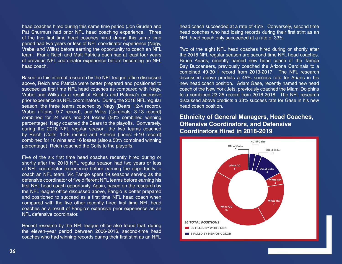head coaches hired during this same time period (Jon Gruden and Pat Shurmur) had prior NFL head coaching experience. Three of the five first time head coaches hired during this same time period had two years or less of NFL coordinator experience (Nagy, Vrabel and Wilks) before earning the opportunity to coach an NFL team. Frank Reich and Matt Patricia each had at least four years of previous NFL coordinator experience before becoming an NFL head coach.

Based on this internal research by the NFL league office discussed above, Reich and Patricia were better prepared and positioned to succeed as first time NFL head coaches as compared with Nagy, Vrabel and Wilks as a result of Reich's and Patricia's extensive prior experience as NFL coordinators. During the 2018 NFL regular season, the three teams coached by Nagy (Bears: 12-4 record), Vrabel (Titans: 9-7 record), and Wilks (Cardinals: 3-13 record) combined for 24 wins and 24 losses (50% combined winning percentage); Nagy coached the Bears to the playoffs. Conversely, during the 2018 NFL regular season, the two teams coached by Reich (Colts: 10-6 record) and Patricia (Lions: 6-10 record) combined for 16 wins and 16 losses (also a 50% combined winning percentage); Reich coached the Colts to the playoffs.

Five of the six first time head coaches recently hired during or shortly after the 2018 NFL regular season had two years or less of NFL coordinator experience before earning the opportunity to coach an NFL team. Vic Fangio spent 19 seasons serving as the defensive coordinator of five different NFL teams before earning his first NFL head coach opportunity. Again, based on the research by the NFL league office discussed above, Fangio is better prepared and positioned to succeed as a first time NFL head coach when compared with the five other recently hired first time NFL head coaches as a result of Fangio's extensive prior experience as an NFL defensive coordinator.

Recent research by the NFL league office also found that, during the eleven-year period between 2006-2016, second-time head coaches who had winning records during their first stint as an NFL

head coach succeeded at a rate of 45%. Conversely, second time head coaches who had losing records during their first stint as an NFL head coach only succeeded at a rate of 33%.

Two of the eight NFL head coaches hired during or shortly after the 2018 NFL regular season are second-time NFL head coaches. Bruce Arians, recently named new head coach of the Tampa Bay Buccaneers, previously coached the Arizona Cardinals to a combined 49-30-1 record from 2013-2017. The NFL research discussed above predicts a 45% success rate for Arians in his new head coach position. Adam Gase, recently named new head coach of the New York Jets, previously coached the Miami Dolphins to a combined 23-25 record from 2016-2018. The NFL research discussed above predicts a 33% success rate for Gase in his new head coach position.

## **Ethnicity of General Managers, Head Coaches, Offensive Coordinators, and Defensive Coordinators Hired in 2018-2019**

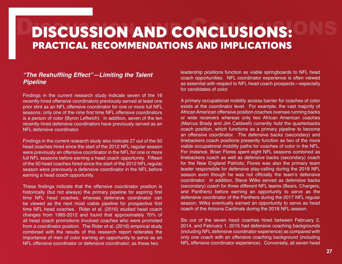# DISCUSSION AND CONCLUSIONS: ONS PRACTICAL RECOMMENDATIONS AND IMPLICATIONS

## **"The Reshuffling Effect"—Limiting the Talent**  *Pipeline*

Findings in the current research study indicate seven of the 16 recently hired offensive coordinators previously served at least one prior stint as an NFL offensive coordinator for one or more full NFL seasons; only one of the nine first time NFL offensive coordinators is a person of color (Byron Leftwich). In addition, seven of the ten recently hired defensive coordinators have previously served as an NFL defensive coordinator.

Findings in the current research study also indicate 27 out of the 50 head coaches hired since the start of the 2012 NFL regular season were previously an offensive coordinator in the NFL for one or more full NFL seasons before earning a head coach opportunity. Fifteen of the 50 head coaches hired since the start of the 2012 NFL regular season were previously a defensive coordinator in the NFL before earning a head coach opportunity.

These findings indicate that the offensive coordinator position is historically (but not always) the primary pipeline for aspiring first time NFL head coaches, whereas defensive coordinator can be viewed as the next most viable pipeline for prospective first time NFL head coaches. Rider et al. (2016) studied head coach changes from 1985-2012 and found that approximately 70% of all head coach promotions involved coaches who were promoted from a coordinator position. The Rider et al. (2016) empirical study combined with the results of this research report reiterates the importance of men of color earning an opportunity to serve as an NFL offensive coordinator or defensive coordinator, as these two

leadership positions function as viable springboards to NFL head coach opportunities. NFL coordinator experience is often viewed as essential with respect to NFL head coach prospects—especially for candidates of color.

A primary occupational mobility access barrier for coaches of color exists at the coordinator level. For example, the vast majority of African American offensive position coaches oversee running backs or wide receivers whereas only two African American coaches (Marcus Brady and Jim Caldwell) currently hold the quarterbacks coach position, which functions as a primary pipeline to become an offensive coordinator. The defensive backs (secondary) and linebackers coach positions presently function as two of the more viable occupational mobility paths for coaches of color in the NFL. For instance, Brian Flores spent eight NFL seasons combined as linebackers coach as well as defensive backs (secondary) coach for the New England Patriots; Flores was also the primary team leader responsible for defensive play-calling during the 2018 NFL season even though he was not officially the team's defensive coordinator. In addition, Steve Wilks served as defensive backs (secondary) coach for three different NFL teams (Bears, Chargers, and Panthers) before earning an opportunity to serve as the defensive coordinator of the Panthers during the 2017 NFL regular season; Wilks eventually earned an opportunity to serve as head coach of the Arizona Cardinals during the 2018 NFL season.

Six out of the seven head coaches hired between February 2, 2014, and February 1, 2015 had defensive coaching backgrounds (including NFL defensive coordinator experience) as compared with only one coach with an offensive coaching background (including NFL offensive coordinator experience). Conversely, all seven head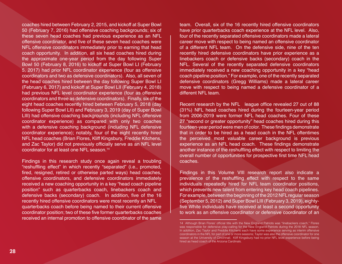coaches hired between February 2, 2015, and kickoff at Super Bowl 50 (February 7, 2016) had offensive coaching backgrounds; six of these seven head coaches had previous experience as an NFL offensive coordinator, and five of these seven head coaches were NFL offensive coordinators immediately prior to earning that head coach opportunity. In addition, all six head coaches hired during the approximate one-year period from the day following Super Bowl 50 (February 8, 2016) to kickoff at Super Bowl LI (February 5, 2017) had prior NFL coordinator experience (four as offensive coordinators and two as defensive coordinators). Also, all seven of the head coaches hired between the day following Super Bowl LI (February 6, 2017) and kickoff at Super Bowl LII (February 4, 2018) had previous NFL level coordinator experience (four as offensive coordinators and three as defensive coordinators). Finally, six of the eight head coaches recently hired between February 5, 2018 (day following Super Bowl LII) and February 3, 2019 (day of Super Bowl LIII) had offensive coaching backgrounds (including NFL offensive coordinator experience) as compared with only two coaches with a defensive coaching background (including NFL defensive coordinator experience); notably, four of the eight recently hired NFL head coaches (Brian Flores, Kliff Kingsbury, Freddie Kitchens, and Zac Taylor) did not previously officially serve as an NFL level coordinator for at least one NFL season.<sup>14</sup>

Findings in this research study once again reveal a troubling "reshuffling effect" in which recently "separated" (i.e., promoted, fired, resigned, retired or otherwise parted ways) head coaches, offensive coordinators, and defensive coordinators immediately received a new coaching opportunity in a key "head coach pipeline position" such as quarterbacks coach, linebackers coach and defensive backs (secondary) coach. In addition, five of the 16 recently hired offensive coordinators were most recently an NFL quarterbacks coach before being named to their current offensive coordinator position; two of these five former quarterbacks coaches received an internal promotion to offensive coordinator of the same

team. Overall, six of the 16 recently hired offensive coordinators have prior quarterbacks coach experience at the NFL level. Also, four of the recently separated offensive coordinators made a lateral career move with respect to being named an offensive coordinator of a different NFL team. On the defensive side, nine of the ten recently hired defensive coordinators have prior experience as a linebackers coach or defensive backs (secondary) coach in the NFL. Several of the recently separated defensive coordinators immediately received a new coaching opportunity in a key "head coach pipeline position." For example, one of the recently separated defensive coordinators (Gregg Williams) made a lateral career move with respect to being named a defensive coordinator of a different NFL team.

Recent research by the NFL league office revealed 27 out of 88 (31%) NFL head coaches hired during the fourteen-year period from 2006-2019 were former NFL head coaches. Four of these 27 "second or greater opportunity" head coaches hired during this fourteen-year period were men of color. These findings demonstrate that in order to be hired as a head coach in the NFL oftentimes the perceived most valuable career background is previous experience as an NFL head coach. These findings demonstrate another instance of the reshuffling effect with respect to limiting the overall number of opportunities for prospective first time NFL head coaches.

Findings in this Volume VIII research report also indicate a prevalence of the reshuffling effect with respect to the same individuals repeatedly hired for NFL team coordinator positions, which prevents new talent from entering key head coach pipelines. For example, between the beginning of the 2012 NFL regular season (September 5, 2012) and Super Bowl LIII (February 3, 2019), eightyfive White individuals have received at least a second opportunity to work as an offensive coordinator or defensive coordinator of an

<sup>14</sup> Although Brian Flores' official title with the New England Patriots was "linebackers coach," Flores was responsible for defensive play-calling for the New England Patriots during the 2018 NFL season. In addition, Zac Taylor and Freddie Kitchens each have some experience serving as interim offensive coordinators in the NFL for part of one or more seasons; Taylor was also the offensive coordinator for one season at the University of Cincinnati. Kliff Kingsbury had no prior NFL level experience before being hired as head coach of the Arizona Cardinals.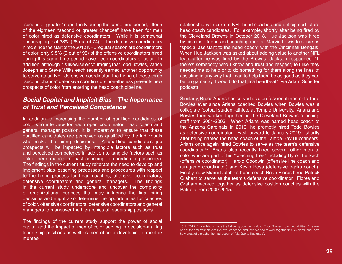"second or greater" opportunity during the same time period; fifteen of the eighteen "second or greater chances" have been for men of color hired as defensive coordinators. While it is somewhat encouraging that 38% (28 out of 74) of the defensive coordinators hired since the start of the 2012 NFL regular season are coordinators of color, only 9.5% (9 out of 95) of the offensive coordinators hired during this same time period have been coordinators of color. In addition, although it is likewise encouraging that Todd Bowles, Vance Joseph and Steve Wilks each recently earned another opportunity to serve as an NFL defensive coordinator, the hiring of these three "second chance" defensive coordinators nonetheless prevents new prospects of color from entering the head coach pipeline.

## **Social Capital and Implicit Bias—The Importance**  *of Trust and Perceived Competence*

In addition to increasing the number of qualified candidates of color who interview for each open coordinator, head coach and general manager position, it is imperative to ensure that these qualified candidates are perceived as qualified by the individuals who make the hiring decisions. A qualified candidate's job prospects will be impacted by intangible factors such as trust and perceived competence in addition to tangible factors such as actual performance in past coaching or coordinator position(s). The findings in the current study reiterate the need to develop and implement bias-lessening processes and procedures with respect to the hiring process for head coaches, offensive coordinators, defensive coordinators and general managers. The findings in the current study underscore and uncover the complexity of organizational nuances that may influence the final hiring decisions and might also determine the opportunities for coaches of color, offensive coordinators, defensive coordinators and general managers to maneuver the hierarchies of leadership positions.

The findings of the current study support the power of social capital and the impact of men of color serving in decision-making leadership positions as well as men of color developing a mentor/ mentee

relationship with current NFL head coaches and anticipated future head coach candidates. For example, shortly after being fired by the Cleveland Browns in October 2018, Hue Jackson was hired by his close friend and coaching mentor Marvin Lewis to serve as "special assistant to the head coach" with the Cincinnati Bengals. When Hue Jackson was asked about adding value to another NFL team after he was fired by the Browns, Jackson responded: "If there's somebody who I know and trust and respect, felt like they needed me to help or to do something for them along the lines of assisting in any way that I can to help them be as good as they can be on gameday, I would do that in a heartbeat" (via Adam Schefter podcast).

Similarly, Bruce Arians has served as a professional mentor to Todd Bowles ever since Arians coached Bowles when Bowles was a collegiate football student-athlete at Temple University. Arians and Bowles then worked together on the Cleveland Browns coaching staff from 2001-2003. When Arians was named head coach of the Arizona Cardinals in 2013, he promptly hired Todd Bowles as defensive coordinator. Fast forward to January 2019—shortly after being named the head coach of the Tampa Bay Buccaneers, Arians once again hired Bowles to serve as the team's defensive coordinator.<sup>15</sup>Arians also recently hired several other men of color who are part of his "coaching tree" including Byron Leftwich (offensive coordinator), Harold Goodwin (offensive line coach and run-game coordinator) and Kevin Ross (defensive backs coach). Finally, new Miami Dolphins head coach Brian Flores hired Patrick Graham to serve as the team's defensive coordinator. Flores and Graham worked together as defensive position coaches with the Patriots from 2009-2015.

<sup>15</sup> In 2015, Bruce Arians made the following comments about Todd Bowles' coaching abilities: "He was one of the smartest players I've ever coached, and then we had to work together in Cleveland, and I saw how great of a teacher he had become" (via Sports Illustrated).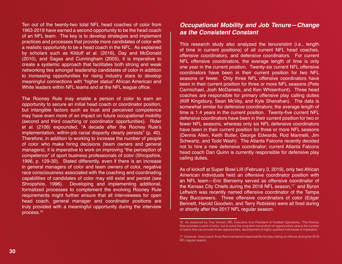Ten out of the twenty-two total NFL head coaches of color from 1963-2019 have earned a second opportunity to be the head coach of an NFL team. The key is to develop strategies and implement practices and processes that provide more candidates of color with a realistic opportunity to be a head coach in the NFL. As explained by scholars such as Kilduff et al. (2016), Day and McDonald (2010), and Sagas and Cunningham (2005), it is imperative to create a systemic approach that facilitates both strong and weak networking ties amongst leadership candidates of color in addition to increasing opportunities for rising industry stars to develop meaningful connections with "higher status" African American and White leaders within NFL teams and at the NFL league office.

The Rooney Rule may enable a person of color to earn an opportunity to secure an initial head coach or coordinator position, but intangible factors such as trust and perceived competence may have even more of an impact on future occupational mobility (second and third coaching or coordinator opportunities). Rider et al. (2106) expounded, "A decade after the Rooney Rule's implementation, within-job racial disparity clearly persists" (p. 40). Therefore, in addition to working to increase the number of people of color who make hiring decisions (team owners and general managers), it is imperative to work on improving "the perception of competence" of sport business professionals of color (Shropshire, 1996, p. 129-30). Stated differently, even if there is an increase in general managers of color and team owners of color, negative race consciousness associated with the coaching and coordinating capabilities of candidates of color may still exist and persist (see Shropshire, 1996). Developing and implementing additional, formalized processes to complement the evolving Rooney Rule requirements might further ensure that all interviewees for open head coach, general manager and coordinator positions are truly provided with a meaningful opportunity during the interview process.<sup>16</sup>

## **Occupational Mobility and Job Tenure—Change**  *as the Consistent Constant*

This research study also analyzed the tenure/stint (i.e., length of time in current positions) of all current NFL head coaches, offensive coordinators, and defensive coordinators. For current NFL offensive coordinators, the average length of time is only one year in the current position. Twenty-six current NFL offensive coordinators have been in their current position for two NFL seasons or fewer. Only three NFL offensive coordinators have been in their current position for three or more NFL seasons (Pete Carmichael, Josh McDaniels, and Ken Whisenhunt). Three head coaches are responsible for primary offensive play calling duties (Kliff Kingsbury, Sean McVay, and Kyle Shanahan). The data is somewhat similar for defensive coordinators; the average length of time is 1.4 years in the current position. Twenty-five current NFL defensive coordinators have been in their current position for two or fewer NFL seasons, whereas only six NFL defensive coordinators have been in their current position for three or more NFL seasons (Dennis Allen, Keith Butler, George Edwards, Rod Marinelli, Jim Schwartz, and Todd Wash). The Atlanta Falcons recently decided not to hire a new defensive coordinator; current Atlanta Falcons head coach Dan Quinn is currently responsible for defensive play calling duties.

As of kickoff at Super Bowl LIII (February 3, 2019), only two African American individuals held an offensive coordinator position with an NFL team—Eric Bieniemy served as offensive coordinator of the Kansas City Chiefs during the 2018 NFL season,<sup>17</sup> and Byron Leftwich was recently named offensive coordinator of the Tampa Bay Buccaneers. Three offensive coordinators of color (Edgar Bennett, Harold Goodwin, and Terry Robiskie) were all fired during or shortly after the 2017 NFL regular season.

<sup>16</sup> As explained by Troy Vincent, NFL Executive Vice President of Football Operations, "The Rooney Rule provides a point of entry, but to solve the long-term conundrum of opportunities versus the number of teams that can provide those opportunities, development of highly qualified individuals is imperative."

<sup>17</sup> However, head coach Andy Reid maintained responsibility for play calling on offense during the 2018 NFL regular season.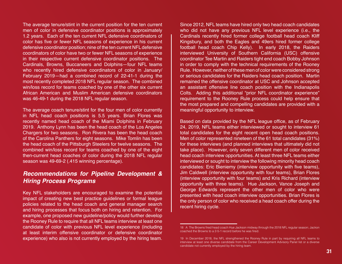The average tenure/stint in the current position for the ten current men of color in defensive coordinator positions is approximately 1.2 years. Each of the ten current NFL defensive coordinators of color has five or fewer NFL seasons of experience in his current defensive coordinator position; nine of the ten current NFL defensive coordinators of color have two or fewer NFL seasons of experience in their respective current defensive coordinator positions. The Cardinals, Browns, Buccaneers and Dolphins—four NFL teams who recently hired defensive coordinators of color in January/ February 2019—had a combined record of 22-41-1 during the most recently completed 2018 NFL regular season. The combined win/loss record for teams coached by one of the other six current African American and Muslim American defensive coordinators was 46-49-1 during the 2018 NFL regular season.

The average coach tenure/stint for the four men of color currently in NFL head coach positions is 5.5 years. Brian Flores was recently named head coach of the Miami Dolphins in February 2019. Anthony Lynn has been the head coach of the Los Angeles Chargers for two seasons. Ron Rivera has been the head coach of the Carolina Panthers for eight seasons. Mike Tomlin has been the head coach of the Pittsburgh Steelers for twelve seasons. The combined win/loss record for teams coached by one of the eight then-current head coaches of color during the 2018 NFL regular season was 49-69-2 (.415 winning percentage).

## *Recommendations for Pipeline Development & Hiring Process Programs*

Key NFL stakeholders are encouraged to examine the potential impact of creating new best practice guidelines or formal league policies related to the head coach and general manager search and hiring processes that focus both on hiring and retention. For example, one proposed new guideline/policy would further develop the Rooney Rule to require that all NFL teams interview at least one candidate of color with previous NFL level experience (including at least interim offensive coordinator or defensive coordinator experience) who also is not currently employed by the hiring team.

Since 2012, NFL teams have hired only two head coach candidates who did not have any previous NFL level experience (i.e., the Cardinals recently hired former college football head coach Kliff Kingsbury, and both the Eagles and 49ers hired former college football head coach Chip Kelly). In early 2018, the Raiders interviewed University of Southern California (USC) offensive coordinator Tee Martin and Raiders tight end coach Bobby Johnson in order to comply with the technical requirements of the Rooney Rule. However, neither of these men of color were considered strong or serious candidates for the Raiders head coach position. Martin remained the offensive coordinator at USC and Johnson accepted an assistant offensive line coach position with the Indianapolis Colts. Adding this additional "prior NFL coordinator experience" requirement to the Rooney Rule process could help ensure that the most prepared and compelling candidates are provided with a meaningful opportunity to interview.

Based on data provided by the NFL league office, as of February 24, 2019, NFL teams either interviewed or sought to interview 61 total candidates for the eight recent open head coach positions. Men of color represented nineteen of the 61 total candidates (31%) for these interviews (and planned interviews that ultimately did not take place). However, only seven different men of color received head coach interview opportunities. At least three NFL teams either interviewed or sought to interview the following minority head coach candidates: Eric Bieniemy (interview opportunity with five teams), Jim Caldwell (interview opportunity with four teams), Brian Flores (interview opportunity with four teams) and Kris Richard (interview opportunity with three teams). Hue Jackson, Vance Joseph and George Edwards represent the other men of color who were presented with head coach interview opportunities. Brian Flores is the only person of color who received a head coach offer during the recent hiring cycle.

<sup>18</sup> A The Browns fired head coach Hue Jackson midway through the 2018 NFL regular season; Jackon coached the Browns to a 2-5-1 record before he was fired.

<sup>19</sup> In December 2018, the NFL strengthened the Rooney Rule in part by requiring all NFL teams to interview at least one diverse candidate from the Career Development Advisory Panel list or a diverse candidate not currently employed by the hiring team.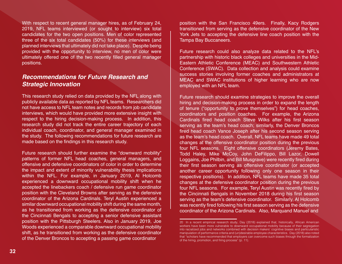With respect to recent general manager hires, as of February 24, 2019, NFL teams interviewed (or sought to interview) six total candidates for the two open positions. Men of color represented three of the six total candidates (50%) for these interviews (and planned interviews that ultimately did not take place). Despite being provided with the opportunity to interview, no men of color were ultimately offered one of the two recently filled general manager positions.

## *Recommendations for Future Research and Strategic Innovation*

This research study relied on data provided by the NFL along with publicly available data as reported by NFL teams. Researchers did not have access to NFL team notes and records from job candidate interviews, which would have provided more extensive insight with respect to the hiring decision-making process. In addition, this research study did not track the entire career trajectory of each individual coach, coordinator, and general manager examined in the study. The following recommendations for future research are made based on the findings in this research study.

Future research should further examine the "downward mobility" patterns of former NFL head coaches, general managers, and offensive and defensive coordinators of color in order to determine the impact and extent of minority vulnerability thesis implications within the NFL. For example, in January 2019, Al Holcomb experienced a downward occupational mobility shift when he accepted the linebackers coach / defensive run game coordinator position with the Cleveland Browns after serving as the defensive coordinator of the Arizona Cardinals. Teryl Austin experienced a similar downward occupational mobility shift during the same month, as he transitioned from working as the defensive coordinator of the Cincinnati Bengals to accepting a senior defensive assistant position with the Pittsburgh Steelers. Also in January 2019, Joe Woods experienced a comparable downward occupational mobility shift, as he transitioned from working as the defensive coordinator of the Denver Broncos to accepting a passing game coordinator

position with the San Francisco 49ers. Finally, Kacy Rodgers transitioned from serving as the defensive coordinator of the New York Jets to accepting the defensive line coach position with the Tampa Bay Buccaneers.

Future research could also analyze data related to the NFL's partnership with historic black colleges and universities in the Mid-Eastern Athletic Conference (MEAC) and Southwestern Athletic Conference (SWAC). Data collection and analysis could examine success stories involving former coaches and administrators at MEAC and SWAC institutions of higher learning who are now employed with an NFL team.

Future research should examine strategies to improve the overall hiring and decision-making process in order to expand the length of tenure ("opportunity to prove themselves") for head coaches, coordinators and position coaches. For example, the Arizona Cardinals fired head coach Steve Wilks after his first season serving as the team's head coach; similarly, the Denver Broncos fired head coach Vance Joseph after his second season serving as the team's head coach. Overall, NFL teams have made 49 total changes at the offensive coordinator position during the previous four NFL seasons. Eight offensive coordinators (Jeremy Bates, Todd Haley, Mike McCoy, John DeFilippo, Bill Lazor, Dowell Loggains, Joe Philbin, and Bill Musgrave) were recently fired during their first season serving as offensive coordinator (or accepted another career opportunity following only one season in their respective positions). In addition, NFL teams have made 35 total changes at the defensive coordinator position during the previous four NFL seasons. For example, Teryl Austin was recently fired by the Cincinnati Bengals in November 2018 during his first season serving as the team's defensive coordinator. Similarly, Al Holcomb was recently fired following his first season serving as the defensive coordinator of the Arizona Cardinals. Also, Marquand Manuel and

<sup>20</sup> In a recent empirical research study, Day (2018) explained that, historically, African American workers have been more vulnerable to downward occupational mobility because of their segregation into racialized jobs and networks combined with decision makers' cognitive biases and particularistic manipulation of performance criteria and (un)desirable employee characteristics. Day (2018) also noted that "scholars have recommended that employers can overcome such biases through the formalization of the hiring, promotion, and firing process" (p. 11).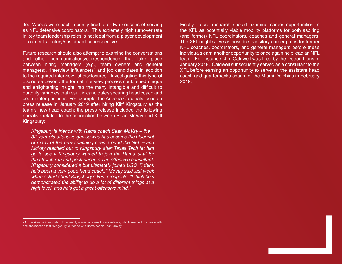Joe Woods were each recently fired after two seasons of serving as NFL defensive coordinators. This extremely high turnover rate in key team leadership roles is not ideal from a player development or career trajectory/sustainability perspective.

Future research should also attempt to examine the conversations and other communications/correspondence that take place between hiring managers (e.g., team owners and general managers), "interview influencers" and job candidates in addition to the required interview list disclosures. Investigating this type of discourse beyond the formal interview process could shed unique and enlightening insight into the many intangible and difficult to quantify variables that result in candidates securing head coach and coordinator positions. For example, the Arizona Cardinals issued a press release in January 2019 after hiring Kliff Kingsbury as the team's new head coach; the press release included the following narrative related to the connection between Sean McVay and Kliff Kingsbury:

*Kingsbury is friends with Rams coach Sean McVay – the 32-year-old offensive genius who has become the blueprint of many of the new coaching hires around the NFL – and McVay reached out to Kingsbury after Texas Tech let him*  go to see if Kingsbury wanted to join the Rams' staff for *the stretch run and postseason as an offensive consultant. Kingsbury considered it but ultimately joined USC. "I think*  he's been a very good head coach," McVay said last week when asked about Kingsbury's NFL prospects. "I think he's *demonstrated the ability to do a lot of different things at a*  high level, and he's got a great offensive mind."

Finally, future research should examine career opportunities in the XFL as potentially viable mobility platforms for both aspiring (and former) NFL coordinators, coaches and general managers. The XFL might serve as possible transitory career paths for former NFL coaches, coordinators, and general managers before these individuals earn another opportunity to once again help lead an NFL team. For instance, Jim Caldwell was fired by the Detroit Lions in January 2018. Caldwell subsequently served as a consultant to the XFL before earning an opportunity to serve as the assistant head coach and quarterbacks coach for the Miami Dolphins in February 2019.

<sup>21</sup> The Arizona Cardinals subsequently issued a revised press release, which seemed to intentionally omit the mention that "Kingsbury is friends with Rams coach Sean McVay."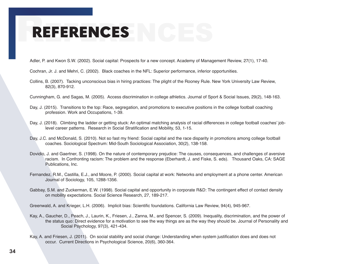# REFERENCES REFERENCES

Adler, P. and Kwon S.W. (2002). Social capital: Prospects for a new concept. Academy of Management Review, 27(1), 17-40.

Cochran, Jr. J. and Mehri, C. (2002). Black coaches in the NFL: Superior performance, inferior opportunities.

Collins, B. (2007). Tacking unconscious bias in hiring practices: The plight of the Rooney Rule. New York University Law Review, 82(3), 870-912.

Cunningham, G. and Sagas, M. (2005). Access discrimination in college athletics. Journal of Sport & Social Issues, 29(2), 148-163.

- Day, J. (2015). Transitions to the top: Race, segregation, and promotions to executive positions in the college football coaching profession. Work and Occupations, 1-39.
- Day, J. (2018). Climbing the ladder or getting stuck: An optimal matching analysis of racial differences in college football coaches' joblevel career patterns. Research in Social Stratification and Mobility, 53, 1-15.
- Day, J.C. and McDonald, S. (2010). Not so fast my friend: Social capital and the race disparity in promotions among college football coaches. Sociological Spectrum: Mid-South Sociological Association, 30(2), 138-158.
- Dovidio, J. and Gaertner, S. (1998). On the nature of contemporary prejudice: The causes, consequences, and challenges of aversive racism. In Confronting racism: The problem and the response (Eberhardt, J. and Fiske, S. eds). Thousand Oaks, CA: SAGE Publications, Inc.
- Fernandez, R.M., Castilla, E.J., and Moore, P. (2000). Social capital at work: Networks and employment at a phone center. American Journal of Sociology, 105, 1288-1356.
- Gabbay, S.M. and Zuckerman, E.W. (1998). Social capital and opportunity in corporate R&D: The contingent effect of contact density on mobility expectations. Social Science Research, 27, 189-217.

Greenwald, A. and Krieger, L.H. (2006). Implicit bias: Scientific foundations. California Law Review, 94(4), 945-967.

- Kay, A., Gaucher, D., Peach, J., Laurin, K., Friesen, J., Zanna, M., and Spencer, S. (2009). Inequality, discrimination, and the power of the status quo: Direct evidence for a motivation to see the way things are as the way they should be. Journal of Personality and Social Psychology, 97(3), 421-434.
- Kay, A. and Friesen, J. (2011). On social stability and social change: Understanding when system justification does and does not occur. Current Directions in Psychological Science, 20(6), 360-364.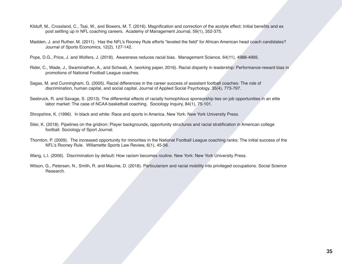- post settling up in NFL coaching careers. Academy of Management Journal, 59(1), 352-375.
- Kilduff, M., Crossland, C., Tsai, W., and Bowers, M. T. (2016). Magnification and correction of the acolyte effect: Initial benefits and ex<br>post settling up in NFL coaching careers. Academy of Management Journal, 59(1), 35 Madden, J. and Ruther, M. (2011). Has the NFL's Rooney Rule efforts "leveled the field" for African American head coach candidates? Journal of Sports Economics, 12(2), 127-142.
	- Pope, D.G., Price, J. and Wolfers, J. (2018). Awareness reduces racial bias. Management Science, 64(11), 4988-4995.
	- Rider, C., Wade, J., Swaminathan, A., and Schwab, A. (working paper, 2016). Racial disparity in leadership: Performance-reward bias in promotions of National Football League coaches.
	- Sagas, M. and Cunningham, G. (2005). Racial differences in the career success of assistant football coaches: The role of discrimination, human capital, and social capital. Journal of Applied Social Psychology, 35(4), 773-797.
	- Seebruck, R. and Savage, S. (2013). The differential effects of racially homophilous sponsorship ties on job opportunities in an elite labor market: The case of NCAA basketball coaching. Sociology Inquiry, 84(1), 75-101.
	- Shropshire, K. (1996). In black and white: Race and sports in America. New York: New York University Press.
	- Siler, K. (2018). Pipelines on the gridiron: Player backgrounds, opportunity structures and racial stratification in American college football. Sociology of Sport Journal.
	- Thornton, P. (2009). The increased opportunity for minorities in the National Football League coaching ranks: The initial success of the NFL's Rooney Rule. Willamette Sports Law Review, 6(1), 45-56.
	- Wang, L.I. (2006). Discrimination by default: How racism becomes routine. New York: New York University Press.
	- Wilson, G., Petersen, N., Smith, R. and Maume, D. (2018). Particularism and racial mobility into privileged occupations. Social Science Research.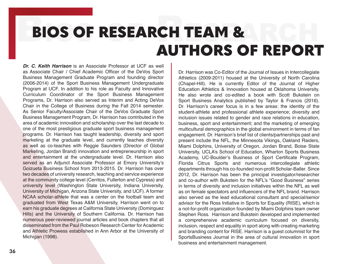# BIOS OF RESEARCH TEAM & BIOS OF RESEARCH TEAM & AUTHORS OF REPORT

*Dr. C. Keith Harrison* is an Associate Professor at UCF as well as Associate Chair / Chief Academic Officer of the DeVos Sport Business Management Graduate Program and founding director (2006-2014) of the Sport Business Management Undergraduate Program at UCF. In addition to his role as Faculty and Innovative Curriculum Coordinator of the Sport Business Management Programs, Dr. Harrison also served as Interim and Acting DeVos Chair in the College of Business during the Fall 2014 semester. As Senior Faculty/Associate Chair of the DeVos Graduate Sport Business Management Program, Dr. Harrison has contributed in the area of academic innovation and scholarship over the last decade to one of the most prestigious graduate sport business management programs. Dr. Harrison has taught leadership, diversity and sport marketing at the graduate level, and currently teaches diversity as well as co-teaches with Reggie Saunders (Director of Global Marketing, Jordan Brand) innovation and entrepreneurship in sport and entertainment at the undergraduate level. Dr. Harrison also served as an Adjunct Associate Professor at Emory University's Goizueta Business School from 2013-2015. Dr. Harrison has over two decades of university research, teaching and service experience at the community college level (Cerritos, Fullerton and Cypress) and university level (Washington State University, Indiana University, University of Michigan, Arizona State University, and UCF). A former NCAA scholar-athlete that was a center on the football team and graduated from West Texas A&M University, Harrison went on to earn his graduate degrees at California State University (Dominguez Hills) and the University of Southern California. Dr. Harrison has numerous peer-reviewed journal articles and book chapters that all disseminated from the Paul Robeson Research Center for Academic and Athletic Prowess established in Ann Arbor at the University of Michigan (1998).

Dr. Harrison was Co-Editor of the Journal of Issues in Intercollegiate Athletics (2009-2011) housed at the University of North Carolina (Chapel-Hill). He is currently Editor of the Journal of Higher Education Athletics & Innovation housed at Oklahoma University. He also wrote and co-edited a book with Scott Bukstein on Sport Business Analytics published by Taylor & Francis (2016). Dr. Harrison's career focus is in a few areas: the identity of the student-athlete and professional athlete experience; diversity and inclusion issues related to gender and race relations in education, business, sport and entertainment; and the marketing of emerging multicultural demographics in the global environment in terms of fan engagement. Dr. Harrison's brief list of clients/partnerships past and present include the NFL, the Minnesota Vikings, Oakland Raiders, Miami Dolphins, University of Oregon, Jordan Brand, Boise State University, UCLA's School of Education, Wharton Sports Business Academy, UC-Boulder's Business of Sport Certificate Program, Florida Citrus Sports and numerous intercollegiate athletic departments through his co-founded non-profit Scholar-Baller. Since 2012, Dr. Harrison has been the principal investigator/researcher and co-author with Bukstein for the NFL's "Good Business" series in terms of diversity and inclusion initiatives within the NFL as well as on female spectators and influencers of the NFL brand. Harrison also served as the lead educational consultant and special/senior advisor for the Ross Initiative in Sports for Equality (RISE), which is a not-for-profit organization founded by Miami Dolphins team owner Stephen Ross. Harrison and Bukstein developed and implemented a comprehensive academic curriculum focused on diversity, inclusion, respect and equality in sport along with creating marketing and branding content for RISE. Harrison is a guest columnist for the SportsBusiness Journal in the area of cultural innovation in sport business and entertainment management.